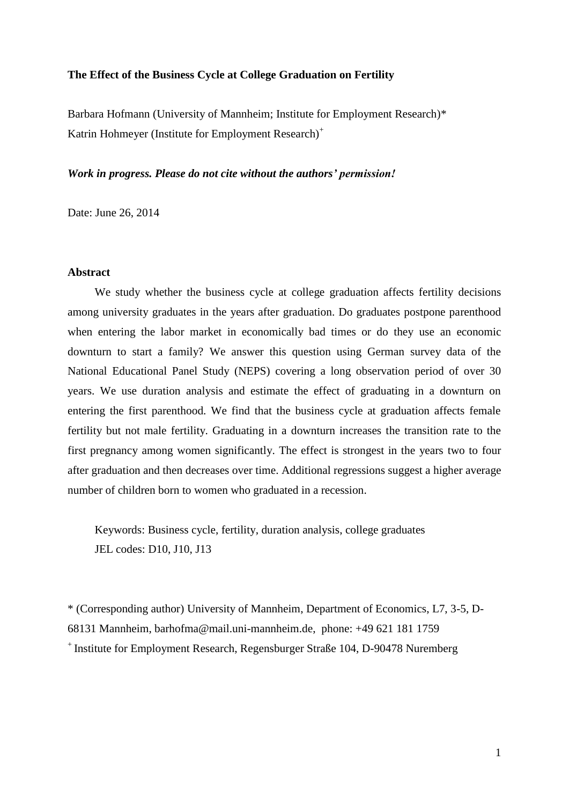#### **The Effect of the Business Cycle at College Graduation on Fertility**

Barbara Hofmann (University of Mannheim; Institute for Employment Research)\* Katrin Hohmeyer (Institute for Employment Research)<sup>+</sup>

## *Work in progress. Please do not cite without the authors' permission!*

Date: June 26, 2014

#### **Abstract**

We study whether the business cycle at college graduation affects fertility decisions among university graduates in the years after graduation. Do graduates postpone parenthood when entering the labor market in economically bad times or do they use an economic downturn to start a family? We answer this question using German survey data of the National Educational Panel Study (NEPS) covering a long observation period of over 30 years. We use duration analysis and estimate the effect of graduating in a downturn on entering the first parenthood. We find that the business cycle at graduation affects female fertility but not male fertility. Graduating in a downturn increases the transition rate to the first pregnancy among women significantly. The effect is strongest in the years two to four after graduation and then decreases over time. Additional regressions suggest a higher average number of children born to women who graduated in a recession.

Keywords: Business cycle, fertility, duration analysis, college graduates JEL codes: D10, J10, J13

\* (Corresponding author) University of Mannheim, Department of Economics, L7, 3-5, D-68131 Mannheim, [barhofma@mail.uni-mannheim.de,](mailto:barhofma@mail.uni-mannheim.de) phone: +49 621 181 1759 + Institute for Employment Research, Regensburger Straße 104, D-90478 Nuremberg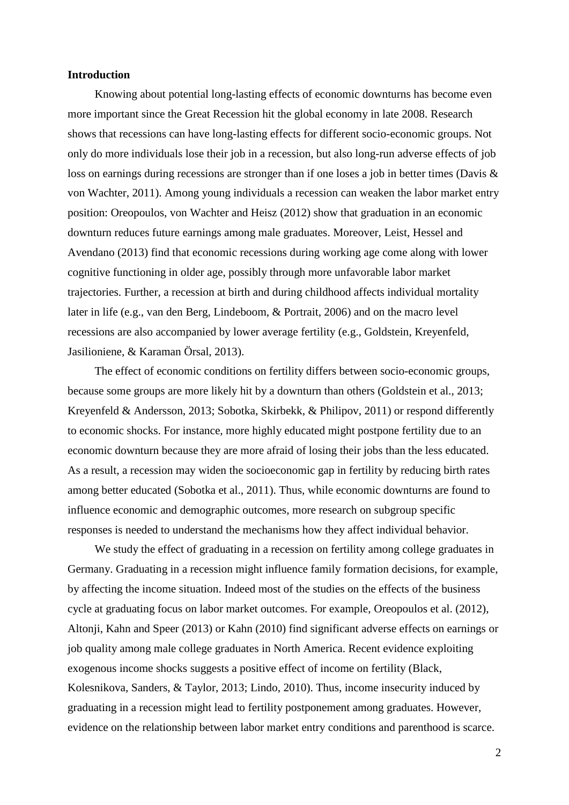#### **Introduction**

Knowing about potential long-lasting effects of economic downturns has become even more important since the Great Recession hit the global economy in late 2008. Research shows that recessions can have long-lasting effects for different socio-economic groups. Not only do more individuals lose their job in a recession, but also long-run adverse effects of job loss on earnings during recessions are stronger than if one loses a job in better times (Davis & [von Wachter, 2011\)](#page-19-0). Among young individuals a recession can weaken the labor market entry position: Oreopoulos, von Wachter and Heisz [\(2012\)](#page-21-0) show that graduation in an economic downturn reduces future earnings among male graduates. Moreover, Leist, Hessel and Avendano [\(2013\)](#page-21-1) find that economic recessions during working age come along with lower cognitive functioning in older age, possibly through more unfavorable labor market trajectories. Further, a recession at birth and during childhood affects individual mortality later in life [\(e.g., van den Berg, Lindeboom, & Portrait, 2006\)](#page-22-0) and on the macro level recessions are also accompanied by lower average fertility [\(e.g., Goldstein, Kreyenfeld,](#page-19-1)  [Jasilioniene, & Karaman Örsal, 2013\)](#page-19-1).

The effect of economic conditions on fertility differs between socio-economic groups, because some groups are more likely hit by a downturn than others [\(Goldstein et al., 2013;](#page-19-1) [Kreyenfeld & Andersson, 2013;](#page-21-2) [Sobotka, Skirbekk, & Philipov, 2011\)](#page-22-1) or respond differently to economic shocks. For instance, more highly educated might postpone fertility due to an economic downturn because they are more afraid of losing their jobs than the less educated. As a result, a recession may widen the socioeconomic gap in fertility by reducing birth rates among better educated [\(Sobotka et al., 2011\)](#page-22-1). Thus, while economic downturns are found to influence economic and demographic outcomes, more research on subgroup specific responses is needed to understand the mechanisms how they affect individual behavior.

We study the effect of graduating in a recession on fertility among college graduates in Germany. Graduating in a recession might influence family formation decisions, for example, by affecting the income situation. Indeed most of the studies on the effects of the business cycle at graduating focus on labor market outcomes. For example, Oreopoulos et al. [\(2012\)](#page-21-0), Altonji, Kahn and Speer [\(2013\)](#page-19-2) or Kahn [\(2010\)](#page-20-0) find significant adverse effects on earnings or job quality among male college graduates in North America. Recent evidence exploiting exogenous income shocks suggests a positive effect of income on fertility [\(Black,](#page-19-3)  [Kolesnikova, Sanders, & Taylor, 2013;](#page-19-3) [Lindo, 2010\)](#page-21-3). Thus, income insecurity induced by graduating in a recession might lead to fertility postponement among graduates. However, evidence on the relationship between labor market entry conditions and parenthood is scarce.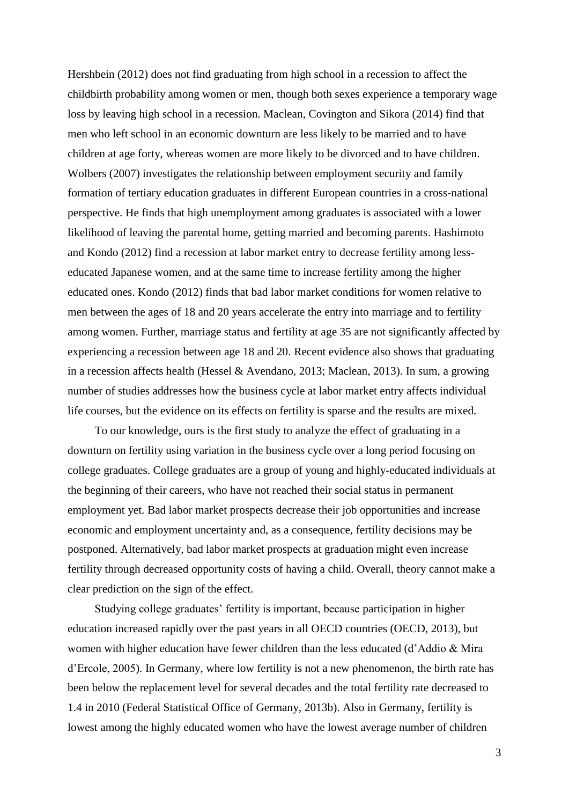Hershbein [\(2012\)](#page-20-1) does not find graduating from high school in a recession to affect the childbirth probability among women or men, though both sexes experience a temporary wage loss by leaving high school in a recession. Maclean, Covington and Sikora [\(2014\)](#page-21-4) find that men who left school in an economic downturn are less likely to be married and to have children at age forty, whereas women are more likely to be divorced and to have children. Wolbers [\(2007\)](#page-22-2) investigates the relationship between employment security and family formation of tertiary education graduates in different European countries in a cross-national perspective. He finds that high unemployment among graduates is associated with a lower likelihood of leaving the parental home, getting married and becoming parents. Hashimoto and Kondo [\(2012\)](#page-20-2) find a recession at labor market entry to decrease fertility among lesseducated Japanese women, and at the same time to increase fertility among the higher educated ones. Kondo [\(2012\)](#page-20-3) finds that bad labor market conditions for women relative to men between the ages of 18 and 20 years accelerate the entry into marriage and to fertility among women. Further, marriage status and fertility at age 35 are not significantly affected by experiencing a recession between age 18 and 20. Recent evidence also shows that graduating in a recession affects health [\(Hessel & Avendano, 2013;](#page-20-4) [Maclean, 2013\)](#page-21-5). In sum, a growing number of studies addresses how the business cycle at labor market entry affects individual life courses, but the evidence on its effects on fertility is sparse and the results are mixed.

To our knowledge, ours is the first study to analyze the effect of graduating in a downturn on fertility using variation in the business cycle over a long period focusing on college graduates. College graduates are a group of young and highly-educated individuals at the beginning of their careers, who have not reached their social status in permanent employment yet. Bad labor market prospects decrease their job opportunities and increase economic and employment uncertainty and, as a consequence, fertility decisions may be postponed. Alternatively, bad labor market prospects at graduation might even increase fertility through decreased opportunity costs of having a child. Overall, theory cannot make a clear prediction on the sign of the effect.

Studying college graduates' fertility is important, because participation in higher education increased rapidly over the past years in all OECD countries [\(OECD, 2013\)](#page-21-6), but women with higher education have fewer children than the less educated [\(d'Addio & Mira](#page-19-4)  [d'Ercole, 2005\)](#page-19-4). In Germany, where low fertility is not a new phenomenon, the birth rate has been below the replacement level for several decades and the total fertility rate decreased to 1.4 in 2010 [\(Federal Statistical Office of Germany, 2013b\)](#page-19-5). Also in Germany, fertility is lowest among the highly educated women who have the lowest average number of children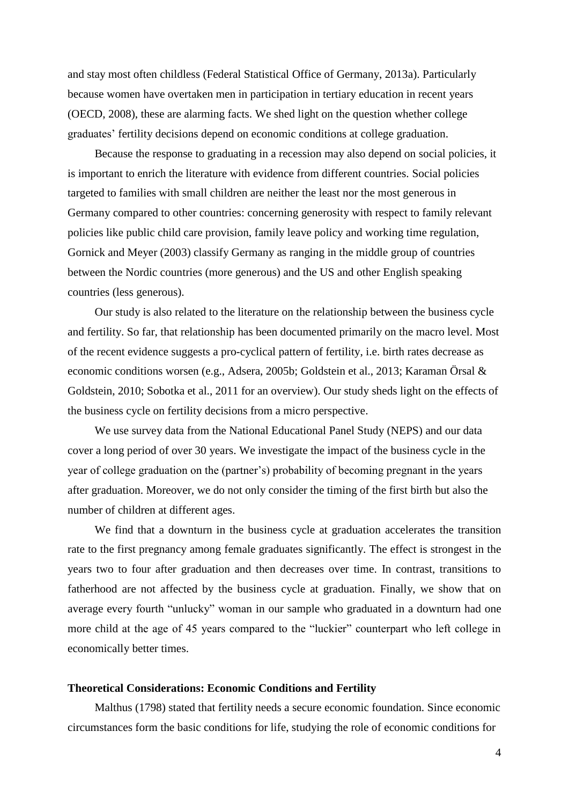and stay most often childless [\(Federal Statistical Office of Germany, 2013a\)](#page-19-6). Particularly because women have overtaken men in participation in tertiary education in recent years [\(OECD, 2008\)](#page-21-7), these are alarming facts. We shed light on the question whether college graduates' fertility decisions depend on economic conditions at college graduation.

Because the response to graduating in a recession may also depend on social policies, it is important to enrich the literature with evidence from different countries. Social policies targeted to families with small children are neither the least nor the most generous in Germany compared to other countries: concerning generosity with respect to family relevant policies like public child care provision, family leave policy and working time regulation, Gornick and Meyer [\(2003\)](#page-20-5) classify Germany as ranging in the middle group of countries between the Nordic countries (more generous) and the US and other English speaking countries (less generous).

Our study is also related to the literature on the relationship between the business cycle and fertility. So far, that relationship has been documented primarily on the macro level. Most of the recent evidence suggests a pro-cyclical pattern of fertility, i.e. birth rates decrease as economic conditions worsen (e.g., [Adsera, 2005b;](#page-19-7) [Goldstein et al., 2013;](#page-19-1) [Karaman Örsal &](#page-20-6)  [Goldstein, 2010;](#page-20-6) [Sobotka et al., 2011 for an overview\)](#page-22-1). Our study sheds light on the effects of the business cycle on fertility decisions from a micro perspective.

We use survey data from the National Educational Panel Study (NEPS) and our data cover a long period of over 30 years. We investigate the impact of the business cycle in the year of college graduation on the (partner's) probability of becoming pregnant in the years after graduation. Moreover, we do not only consider the timing of the first birth but also the number of children at different ages.

We find that a downturn in the business cycle at graduation accelerates the transition rate to the first pregnancy among female graduates significantly. The effect is strongest in the years two to four after graduation and then decreases over time. In contrast, transitions to fatherhood are not affected by the business cycle at graduation. Finally, we show that on average every fourth "unlucky" woman in our sample who graduated in a downturn had one more child at the age of 45 years compared to the "luckier" counterpart who left college in economically better times.

#### **Theoretical Considerations: Economic Conditions and Fertility**

Malthus [\(1798\)](#page-21-8) stated that fertility needs a secure economic foundation. Since economic circumstances form the basic conditions for life, studying the role of economic conditions for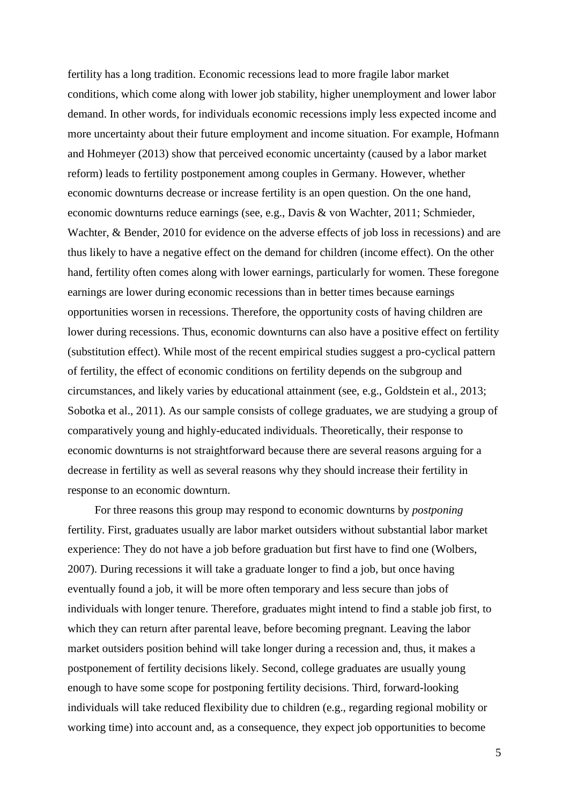fertility has a long tradition. Economic recessions lead to more fragile labor market conditions, which come along with lower job stability, higher unemployment and lower labor demand. In other words, for individuals economic recessions imply less expected income and more uncertainty about their future employment and income situation. For example, Hofmann and Hohmeyer [\(2013\)](#page-20-7) show that perceived economic uncertainty (caused by a labor market reform) leads to fertility postponement among couples in Germany. However, whether economic downturns decrease or increase fertility is an open question. On the one hand, economic downturns reduce earnings (see, e.g., [Davis & von Wachter, 2011;](#page-19-0) [Schmieder,](#page-21-9)  [Wachter, & Bender, 2010 for evidence on the adverse effects of job loss in recessions\)](#page-21-9) and are thus likely to have a negative effect on the demand for children (income effect). On the other hand, fertility often comes along with lower earnings, particularly for women. These foregone earnings are lower during economic recessions than in better times because earnings opportunities worsen in recessions. Therefore, the opportunity costs of having children are lower during recessions. Thus, economic downturns can also have a positive effect on fertility (substitution effect). While most of the recent empirical studies suggest a pro-cyclical pattern of fertility, the effect of economic conditions on fertility depends on the subgroup and circumstances, and likely varies by educational attainment (see, e.g., [Goldstein et al., 2013;](#page-19-1) [Sobotka et al., 2011\)](#page-22-1). As our sample consists of college graduates, we are studying a group of comparatively young and highly-educated individuals. Theoretically, their response to economic downturns is not straightforward because there are several reasons arguing for a decrease in fertility as well as several reasons why they should increase their fertility in response to an economic downturn.

For three reasons this group may respond to economic downturns by *postponing* fertility. First, graduates usually are labor market outsiders without substantial labor market experience: They do not have a job before graduation but first have to find one [\(Wolbers,](#page-22-2)  [2007\)](#page-22-2). During recessions it will take a graduate longer to find a job, but once having eventually found a job, it will be more often temporary and less secure than jobs of individuals with longer tenure. Therefore, graduates might intend to find a stable job first, to which they can return after parental leave, before becoming pregnant. Leaving the labor market outsiders position behind will take longer during a recession and, thus, it makes a postponement of fertility decisions likely. Second, college graduates are usually young enough to have some scope for postponing fertility decisions. Third, forward-looking individuals will take reduced flexibility due to children (e.g., regarding regional mobility or working time) into account and, as a consequence, they expect job opportunities to become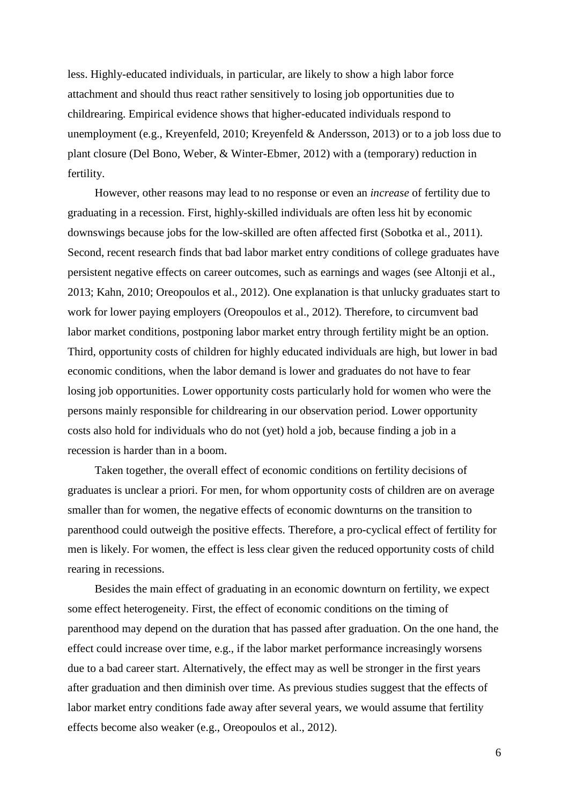less. Highly-educated individuals, in particular, are likely to show a high labor force attachment and should thus react rather sensitively to losing job opportunities due to childrearing. Empirical evidence shows that higher-educated individuals respond to unemployment (e.g., [Kreyenfeld, 2010;](#page-20-8) [Kreyenfeld & Andersson, 2013\)](#page-21-2) or to a job loss due to plant closure [\(Del Bono, Weber, & Winter-Ebmer, 2012\)](#page-19-8) with a (temporary) reduction in fertility.

However, other reasons may lead to no response or even an *increase* of fertility due to graduating in a recession. First, highly-skilled individuals are often less hit by economic downswings because jobs for the low-skilled are often affected first [\(Sobotka et al., 2011\)](#page-22-1). Second, recent research finds that bad labor market entry conditions of college graduates have persistent negative effects on career outcomes, such as earnings and wages (see [Altonji et al.,](#page-19-2)  [2013;](#page-19-2) [Kahn, 2010;](#page-20-0) [Oreopoulos et al., 2012\)](#page-21-0). One explanation is that unlucky graduates start to work for lower paying employers [\(Oreopoulos et al., 2012\)](#page-21-0). Therefore, to circumvent bad labor market conditions, postponing labor market entry through fertility might be an option. Third, opportunity costs of children for highly educated individuals are high, but lower in bad economic conditions, when the labor demand is lower and graduates do not have to fear losing job opportunities. Lower opportunity costs particularly hold for women who were the persons mainly responsible for childrearing in our observation period. Lower opportunity costs also hold for individuals who do not (yet) hold a job, because finding a job in a recession is harder than in a boom.

Taken together, the overall effect of economic conditions on fertility decisions of graduates is unclear a priori. For men, for whom opportunity costs of children are on average smaller than for women, the negative effects of economic downturns on the transition to parenthood could outweigh the positive effects. Therefore, a pro-cyclical effect of fertility for men is likely. For women, the effect is less clear given the reduced opportunity costs of child rearing in recessions.

Besides the main effect of graduating in an economic downturn on fertility, we expect some effect heterogeneity. First, the effect of economic conditions on the timing of parenthood may depend on the duration that has passed after graduation. On the one hand, the effect could increase over time, e.g., if the labor market performance increasingly worsens due to a bad career start. Alternatively, the effect may as well be stronger in the first years after graduation and then diminish over time. As previous studies suggest that the effects of labor market entry conditions fade away after several years, we would assume that fertility effects become also weaker [\(e.g., Oreopoulos et al., 2012\)](#page-21-0).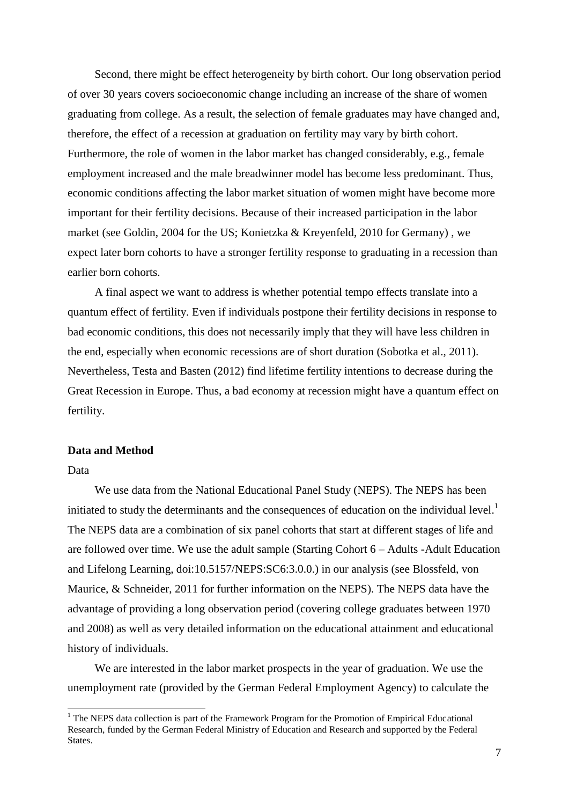Second, there might be effect heterogeneity by birth cohort. Our long observation period of over 30 years covers socioeconomic change including an increase of the share of women graduating from college. As a result, the selection of female graduates may have changed and, therefore, the effect of a recession at graduation on fertility may vary by birth cohort. Furthermore, the role of women in the labor market has changed considerably, e.g., female employment increased and the male breadwinner model has become less predominant. Thus, economic conditions affecting the labor market situation of women might have become more important for their fertility decisions. Because of their increased participation in the labor market (see [Goldin, 2004 for the US;](#page-19-9) [Konietzka & Kreyenfeld, 2010 for Germany\)](#page-20-9) , we expect later born cohorts to have a stronger fertility response to graduating in a recession than earlier born cohorts.

A final aspect we want to address is whether potential tempo effects translate into a quantum effect of fertility. Even if individuals postpone their fertility decisions in response to bad economic conditions, this does not necessarily imply that they will have less children in the end, especially when economic recessions are of short duration [\(Sobotka et al., 2011\)](#page-22-1). Nevertheless, Testa and Basten [\(2012\)](#page-22-3) find lifetime fertility intentions to decrease during the Great Recession in Europe. Thus, a bad economy at recession might have a quantum effect on fertility.

#### **Data and Method**

#### Data

-

We use data from the National Educational Panel Study (NEPS). The NEPS has been initiated to study the determinants and the consequences of education on the individual level.<sup>1</sup> The NEPS data are a combination of six panel cohorts that start at different stages of life and are followed over time. We use the adult sample (Starting Cohort 6 – Adults -Adult Education and Lifelong Learning, doi:10.5157/NEPS:SC6:3.0.0.) in our analysis [\(see Blossfeld, von](#page-19-10)  [Maurice, & Schneider, 2011 for further information on the NEPS\)](#page-19-10). The NEPS data have the advantage of providing a long observation period (covering college graduates between 1970 and 2008) as well as very detailed information on the educational attainment and educational history of individuals.

We are interested in the labor market prospects in the year of graduation. We use the unemployment rate (provided by the German Federal Employment Agency) to calculate the

<sup>&</sup>lt;sup>1</sup> The NEPS data collection is part of the Framework Program for the Promotion of Empirical Educational Research, funded by the German Federal Ministry of Education and Research and supported by the Federal States.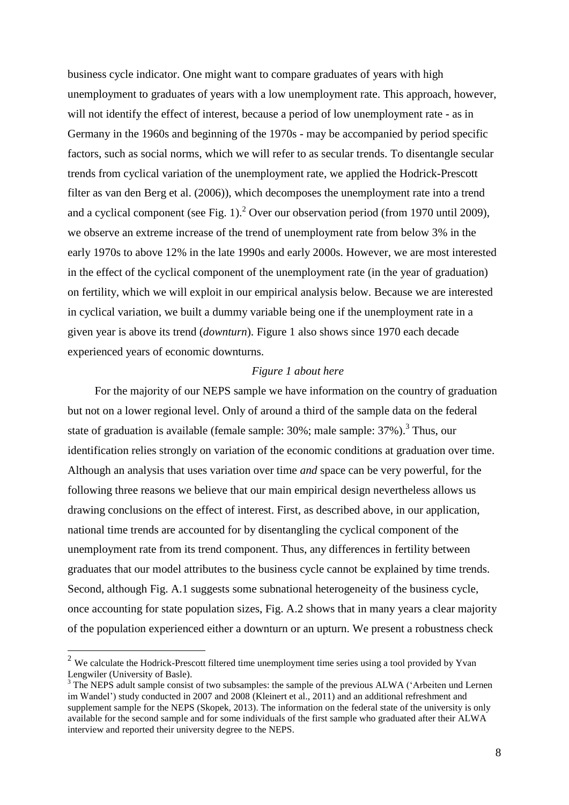business cycle indicator. One might want to compare graduates of years with high unemployment to graduates of years with a low unemployment rate. This approach, however, will not identify the effect of interest, because a period of low unemployment rate - as in Germany in the 1960s and beginning of the 1970s - may be accompanied by period specific factors, such as social norms, which we will refer to as secular trends. To disentangle secular trends from cyclical variation of the unemployment rate, we applied the Hodrick-Prescott filter as [van den Berg et al. \(2006\)\)](#page-22-0), which decomposes the unemployment rate into a trend and a cyclical component (see Fig. 1).<sup>2</sup> Over our observation period (from 1970 until 2009), we observe an extreme increase of the trend of unemployment rate from below 3% in the early 1970s to above 12% in the late 1990s and early 2000s. However, we are most interested in the effect of the cyclical component of the unemployment rate (in the year of graduation) on fertility, which we will exploit in our empirical analysis below. Because we are interested in cyclical variation, we built a dummy variable being one if the unemployment rate in a given year is above its trend (*downturn*). Figure 1 also shows since 1970 each decade experienced years of economic downturns.

## *Figure 1 about here*

For the majority of our NEPS sample we have information on the country of graduation but not on a lower regional level. Only of around a third of the sample data on the federal state of graduation is available (female sample: 30%; male sample: 37%).<sup>3</sup> Thus, our identification relies strongly on variation of the economic conditions at graduation over time. Although an analysis that uses variation over time *and* space can be very powerful, for the following three reasons we believe that our main empirical design nevertheless allows us drawing conclusions on the effect of interest. First, as described above, in our application, national time trends are accounted for by disentangling the cyclical component of the unemployment rate from its trend component. Thus, any differences in fertility between graduates that our model attributes to the business cycle cannot be explained by time trends. Second, although Fig. A.1 suggests some subnational heterogeneity of the business cycle, once accounting for state population sizes, Fig. A.2 shows that in many years a clear majority of the population experienced either a downturn or an upturn. We present a robustness check

1

<sup>&</sup>lt;sup>2</sup> We calculate the Hodrick-Prescott filtered time unemployment time series using a tool provided by Yvan Lengwiler (University of Basle).

<sup>&</sup>lt;sup>3</sup> The NEPS adult sample consist of two subsamples: the sample of the previous ALWA ('Arbeiten und Lernen im Wandel') study conducted in 2007 and 2008 [\(Kleinert et al., 2011\)](#page-20-10) and an additional refreshment and supplement sample for the NEPS [\(Skopek, 2013\)](#page-21-10). The information on the federal state of the university is only available for the second sample and for some individuals of the first sample who graduated after their ALWA interview and reported their university degree to the NEPS.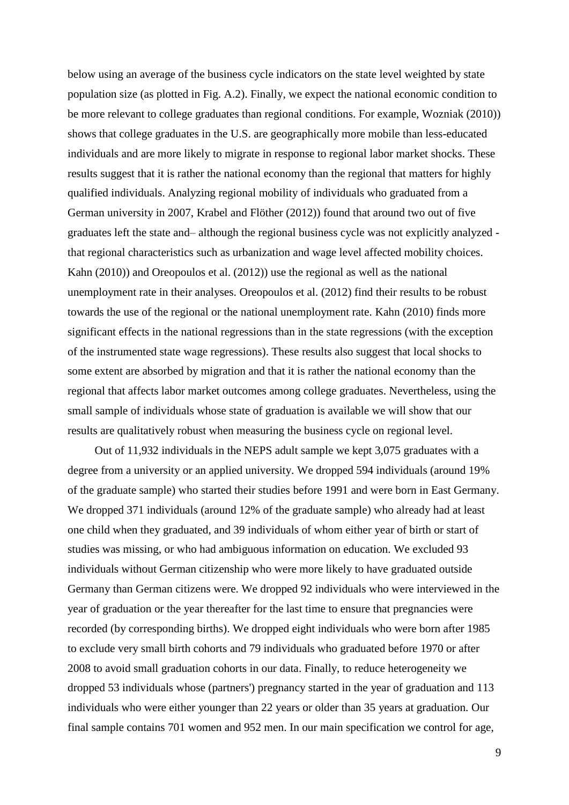below using an average of the business cycle indicators on the state level weighted by state population size (as plotted in Fig. A.2). Finally, we expect the national economic condition to be more relevant to college graduates than regional conditions. For example, [Wozniak \(2010\)\)](#page-22-4) shows that college graduates in the U.S. are geographically more mobile than less-educated individuals and are more likely to migrate in response to regional labor market shocks. These results suggest that it is rather the national economy than the regional that matters for highly qualified individuals. Analyzing regional mobility of individuals who graduated from a German university in 2007, [Krabel and Flöther \(2012\)\)](#page-20-11) found that around two out of five graduates left the state and– although the regional business cycle was not explicitly analyzed that regional characteristics such as urbanization and wage level affected mobility choices. [Kahn \(2010\)\)](#page-20-0) and [Oreopoulos et al. \(2012\)\)](#page-21-0) use the regional as well as the national unemployment rate in their analyses. Oreopoulos et al. [\(2012\)](#page-21-0) find their results to be robust towards the use of the regional or the national unemployment rate. Kahn [\(2010\)](#page-20-0) finds more significant effects in the national regressions than in the state regressions (with the exception of the instrumented state wage regressions). These results also suggest that local shocks to some extent are absorbed by migration and that it is rather the national economy than the regional that affects labor market outcomes among college graduates. Nevertheless, using the small sample of individuals whose state of graduation is available we will show that our results are qualitatively robust when measuring the business cycle on regional level.

Out of 11,932 individuals in the NEPS adult sample we kept 3,075 graduates with a degree from a university or an applied university. We dropped 594 individuals (around 19% of the graduate sample) who started their studies before 1991 and were born in East Germany. We dropped 371 individuals (around 12% of the graduate sample) who already had at least one child when they graduated, and 39 individuals of whom either year of birth or start of studies was missing, or who had ambiguous information on education. We excluded 93 individuals without German citizenship who were more likely to have graduated outside Germany than German citizens were. We dropped 92 individuals who were interviewed in the year of graduation or the year thereafter for the last time to ensure that pregnancies were recorded (by corresponding births). We dropped eight individuals who were born after 1985 to exclude very small birth cohorts and 79 individuals who graduated before 1970 or after 2008 to avoid small graduation cohorts in our data. Finally, to reduce heterogeneity we dropped 53 individuals whose (partners') pregnancy started in the year of graduation and 113 individuals who were either younger than 22 years or older than 35 years at graduation. Our final sample contains 701 women and 952 men. In our main specification we control for age,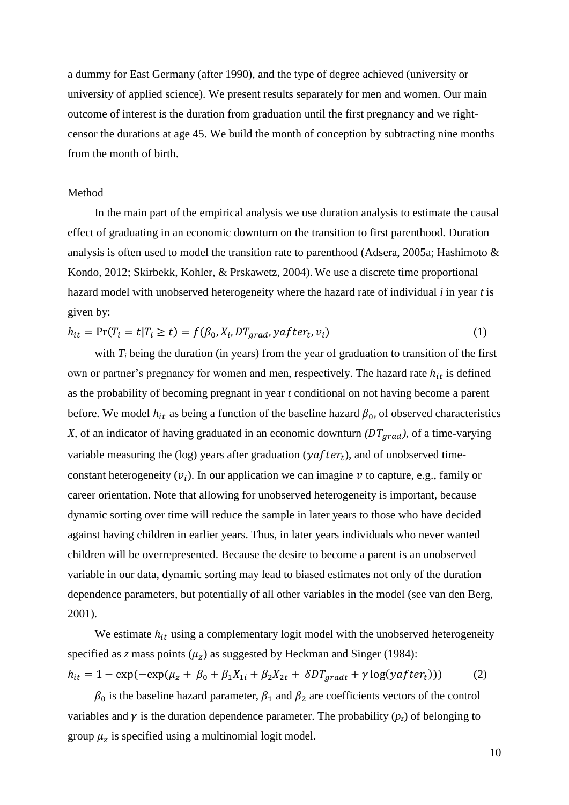a dummy for East Germany (after 1990), and the type of degree achieved (university or university of applied science). We present results separately for men and women. Our main outcome of interest is the duration from graduation until the first pregnancy and we rightcensor the durations at age 45. We build the month of conception by subtracting nine months from the month of birth.

#### Method

In the main part of the empirical analysis we use duration analysis to estimate the causal effect of graduating in an economic downturn on the transition to first parenthood. Duration analysis is often used to model the transition rate to parenthood [\(Adsera, 2005a;](#page-19-11) [Hashimoto &](#page-20-2)  [Kondo, 2012;](#page-20-2) [Skirbekk, Kohler, & Prskawetz, 2004\)](#page-21-11). We use a discrete time proportional hazard model with unobserved heterogeneity where the hazard rate of individual *i* in year *t* is given by:

$$
h_{it} = \Pr(T_i = t | T_i \ge t) = f(\beta_0, X_i, DT_{grad}, yafter_t, v_i)
$$
\n
$$
(1)
$$

with  $T_i$  being the duration (in years) from the year of graduation to transition of the first own or partner's pregnancy for women and men, respectively. The hazard rate  $h_{it}$  is defined as the probability of becoming pregnant in year *t* conditional on not having become a parent before. We model  $h_{it}$  as being a function of the baseline hazard  $\beta_0$ , of observed characteristics *X*, of an indicator of having graduated in an economic downturn  $(DT_{grad})$ , of a time-varying variable measuring the (log) years after graduation ( $y$ after<sub>t</sub>), and of unobserved timeconstant heterogeneity  $(v_i)$ . In our application we can imagine v to capture, e.g., family or career orientation. Note that allowing for unobserved heterogeneity is important, because dynamic sorting over time will reduce the sample in later years to those who have decided against having children in earlier years. Thus, in later years individuals who never wanted children will be overrepresented. Because the desire to become a parent is an unobserved variable in our data, dynamic sorting may lead to biased estimates not only of the duration dependence parameters, but potentially of all other variables in the model [\(see van den Berg,](#page-22-5)  [2001\)](#page-22-5).

We estimate  $h_{it}$  using a complementary logit model with the unobserved heterogeneity specified as *z* mass points  $(\mu_z)$  as suggested by Heckman and Singer [\(1984\)](#page-20-12):  $h_{it} = 1 - \exp(-\exp(\mu_z + \beta_0 + \beta_1 X_{1i} + \beta_2 X_{2t} + \delta DT_{aradt} + \gamma \log(yafter_t)))$  (2)

 $\beta_0$  is the baseline hazard parameter,  $\beta_1$  and  $\beta_2$  are coefficients vectors of the control variables and  $\gamma$  is the duration dependence parameter. The probability ( $p<sub>z</sub>$ ) of belonging to group  $\mu_z$  is specified using a multinomial logit model.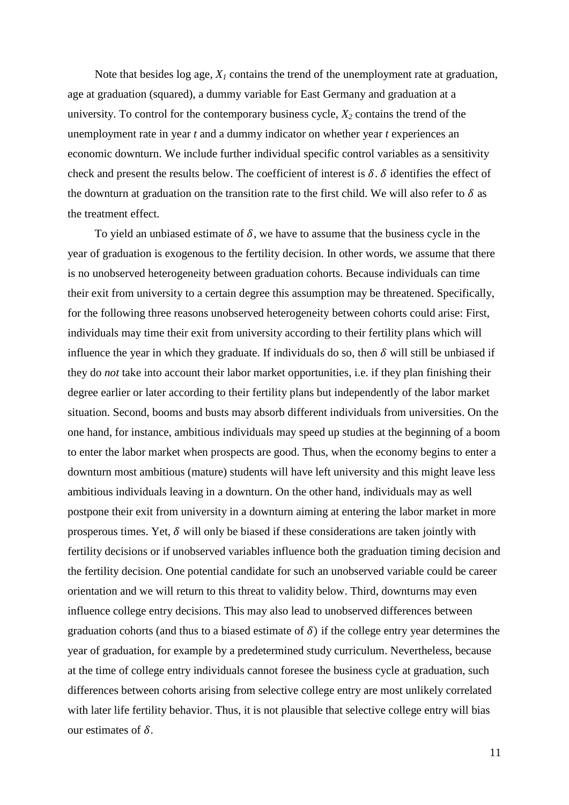Note that besides log age,  $X_I$  contains the trend of the unemployment rate at graduation, age at graduation (squared), a dummy variable for East Germany and graduation at a university. To control for the contemporary business cycle,  $X_2$  contains the trend of the unemployment rate in year *t* and a dummy indicator on whether year *t* experiences an economic downturn. We include further individual specific control variables as a sensitivity check and present the results below. The coefficient of interest is  $\delta$ .  $\delta$  identifies the effect of the downturn at graduation on the transition rate to the first child. We will also refer to  $\delta$  as the treatment effect.

To yield an unbiased estimate of  $\delta$ , we have to assume that the business cycle in the year of graduation is exogenous to the fertility decision. In other words, we assume that there is no unobserved heterogeneity between graduation cohorts. Because individuals can time their exit from university to a certain degree this assumption may be threatened. Specifically, for the following three reasons unobserved heterogeneity between cohorts could arise: First, individuals may time their exit from university according to their fertility plans which will influence the year in which they graduate. If individuals do so, then  $\delta$  will still be unbiased if they do *not* take into account their labor market opportunities, i.e. if they plan finishing their degree earlier or later according to their fertility plans but independently of the labor market situation. Second, booms and busts may absorb different individuals from universities. On the one hand, for instance, ambitious individuals may speed up studies at the beginning of a boom to enter the labor market when prospects are good. Thus, when the economy begins to enter a downturn most ambitious (mature) students will have left university and this might leave less ambitious individuals leaving in a downturn. On the other hand, individuals may as well postpone their exit from university in a downturn aiming at entering the labor market in more prosperous times. Yet,  $\delta$  will only be biased if these considerations are taken jointly with fertility decisions or if unobserved variables influence both the graduation timing decision and the fertility decision. One potential candidate for such an unobserved variable could be career orientation and we will return to this threat to validity below. Third, downturns may even influence college entry decisions. This may also lead to unobserved differences between graduation cohorts (and thus to a biased estimate of  $\delta$ ) if the college entry year determines the year of graduation, for example by a predetermined study curriculum. Nevertheless, because at the time of college entry individuals cannot foresee the business cycle at graduation, such differences between cohorts arising from selective college entry are most unlikely correlated with later life fertility behavior. Thus, it is not plausible that selective college entry will bias our estimates of  $\delta$ .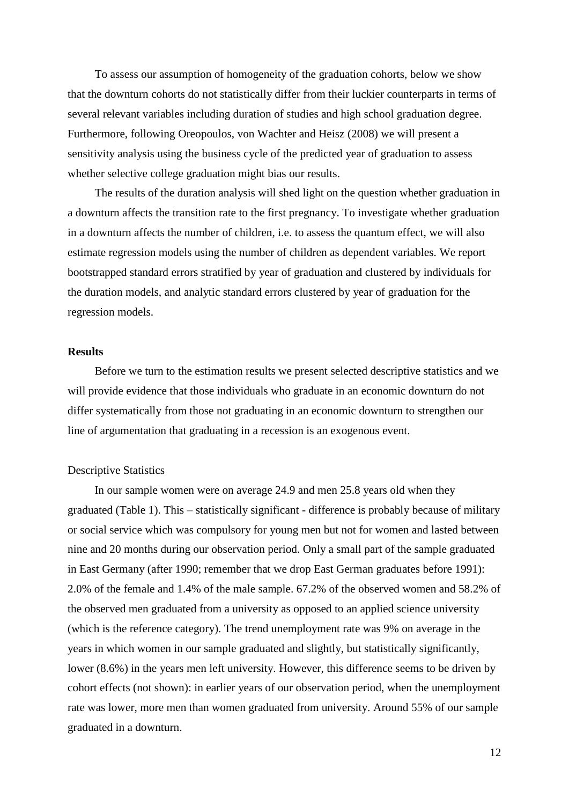To assess our assumption of homogeneity of the graduation cohorts, below we show that the downturn cohorts do not statistically differ from their luckier counterparts in terms of several relevant variables including duration of studies and high school graduation degree. Furthermore, following Oreopoulos, von Wachter and Heisz [\(2008\)](#page-21-12) we will present a sensitivity analysis using the business cycle of the predicted year of graduation to assess whether selective college graduation might bias our results.

The results of the duration analysis will shed light on the question whether graduation in a downturn affects the transition rate to the first pregnancy. To investigate whether graduation in a downturn affects the number of children, i.e. to assess the quantum effect, we will also estimate regression models using the number of children as dependent variables. We report bootstrapped standard errors stratified by year of graduation and clustered by individuals for the duration models, and analytic standard errors clustered by year of graduation for the regression models.

#### **Results**

Before we turn to the estimation results we present selected descriptive statistics and we will provide evidence that those individuals who graduate in an economic downturn do not differ systematically from those not graduating in an economic downturn to strengthen our line of argumentation that graduating in a recession is an exogenous event.

#### Descriptive Statistics

In our sample women were on average 24.9 and men 25.8 years old when they graduated (Table 1). This – statistically significant - difference is probably because of military or social service which was compulsory for young men but not for women and lasted between nine and 20 months during our observation period. Only a small part of the sample graduated in East Germany (after 1990; remember that we drop East German graduates before 1991): 2.0% of the female and 1.4% of the male sample. 67.2% of the observed women and 58.2% of the observed men graduated from a university as opposed to an applied science university (which is the reference category). The trend unemployment rate was 9% on average in the years in which women in our sample graduated and slightly, but statistically significantly, lower (8.6%) in the years men left university. However, this difference seems to be driven by cohort effects (not shown): in earlier years of our observation period, when the unemployment rate was lower, more men than women graduated from university. Around 55% of our sample graduated in a downturn.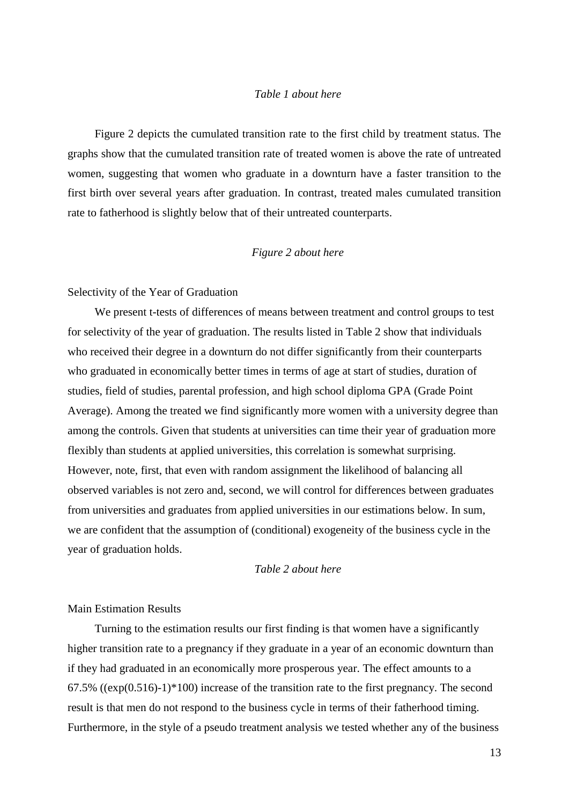## *Table 1 about here*

Figure 2 depicts the cumulated transition rate to the first child by treatment status. The graphs show that the cumulated transition rate of treated women is above the rate of untreated women, suggesting that women who graduate in a downturn have a faster transition to the first birth over several years after graduation. In contrast, treated males cumulated transition rate to fatherhood is slightly below that of their untreated counterparts.

#### *Figure 2 about here*

#### Selectivity of the Year of Graduation

We present t-tests of differences of means between treatment and control groups to test for selectivity of the year of graduation. The results listed in Table 2 show that individuals who received their degree in a downturn do not differ significantly from their counterparts who graduated in economically better times in terms of age at start of studies, duration of studies, field of studies, parental profession, and high school diploma GPA (Grade Point Average). Among the treated we find significantly more women with a university degree than among the controls. Given that students at universities can time their year of graduation more flexibly than students at applied universities, this correlation is somewhat surprising. However, note, first, that even with random assignment the likelihood of balancing all observed variables is not zero and, second, we will control for differences between graduates from universities and graduates from applied universities in our estimations below. In sum, we are confident that the assumption of (conditional) exogeneity of the business cycle in the year of graduation holds.

## *Table 2 about here*

#### Main Estimation Results

Turning to the estimation results our first finding is that women have a significantly higher transition rate to a pregnancy if they graduate in a year of an economic downturn than if they had graduated in an economically more prosperous year. The effect amounts to a 67.5% ( $(\exp(0.516)-1)*100$ ) increase of the transition rate to the first pregnancy. The second result is that men do not respond to the business cycle in terms of their fatherhood timing. Furthermore, in the style of a pseudo treatment analysis we tested whether any of the business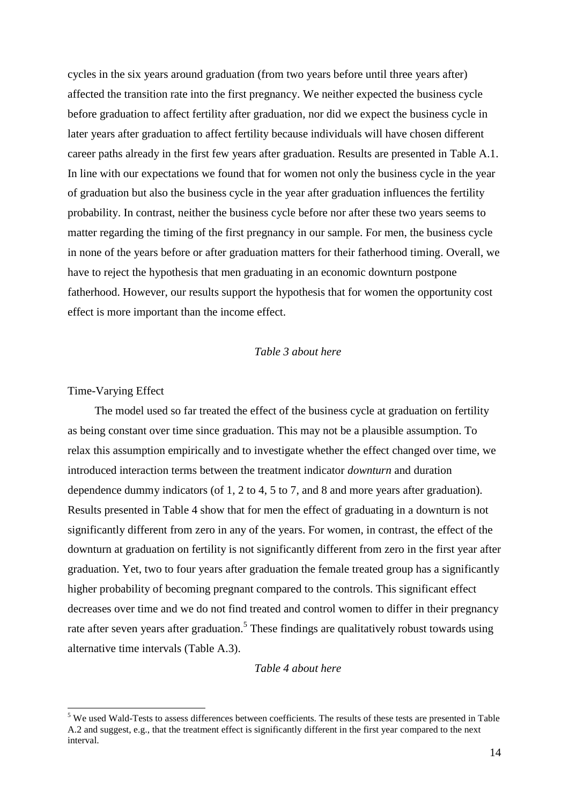cycles in the six years around graduation (from two years before until three years after) affected the transition rate into the first pregnancy. We neither expected the business cycle before graduation to affect fertility after graduation, nor did we expect the business cycle in later years after graduation to affect fertility because individuals will have chosen different career paths already in the first few years after graduation. Results are presented in Table A.1. In line with our expectations we found that for women not only the business cycle in the year of graduation but also the business cycle in the year after graduation influences the fertility probability. In contrast, neither the business cycle before nor after these two years seems to matter regarding the timing of the first pregnancy in our sample. For men, the business cycle in none of the years before or after graduation matters for their fatherhood timing. Overall, we have to reject the hypothesis that men graduating in an economic downturn postpone fatherhood. However, our results support the hypothesis that for women the opportunity cost effect is more important than the income effect.

## *Table 3 about here*

#### Time-Varying Effect

-

The model used so far treated the effect of the business cycle at graduation on fertility as being constant over time since graduation. This may not be a plausible assumption. To relax this assumption empirically and to investigate whether the effect changed over time, we introduced interaction terms between the treatment indicator *downturn* and duration dependence dummy indicators (of 1, 2 to 4, 5 to 7, and 8 and more years after graduation). Results presented in Table 4 show that for men the effect of graduating in a downturn is not significantly different from zero in any of the years. For women, in contrast, the effect of the downturn at graduation on fertility is not significantly different from zero in the first year after graduation. Yet, two to four years after graduation the female treated group has a significantly higher probability of becoming pregnant compared to the controls. This significant effect decreases over time and we do not find treated and control women to differ in their pregnancy rate after seven years after graduation.<sup>5</sup> These findings are qualitatively robust towards using alternative time intervals (Table A.3).

## *Table 4 about here*

<sup>&</sup>lt;sup>5</sup> We used Wald-Tests to assess differences between coefficients. The results of these tests are presented in Table A.2 and suggest, e.g., that the treatment effect is significantly different in the first year compared to the next interval.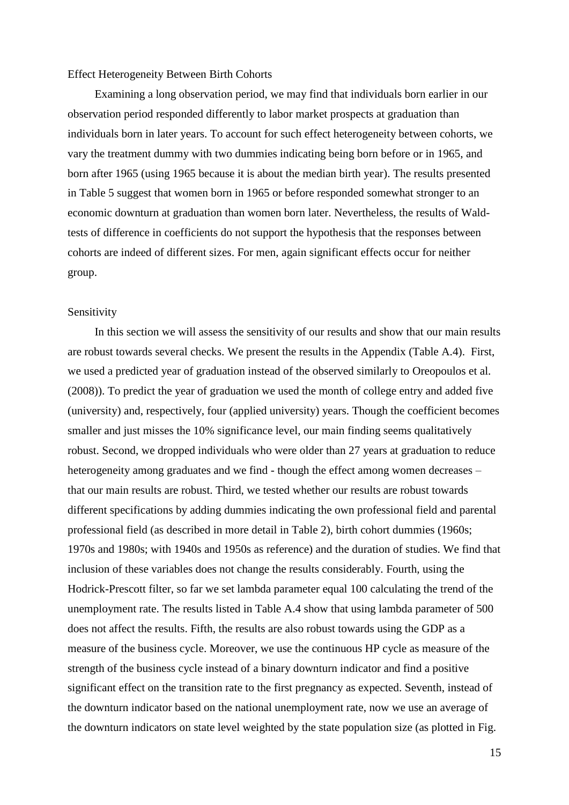#### Effect Heterogeneity Between Birth Cohorts

Examining a long observation period, we may find that individuals born earlier in our observation period responded differently to labor market prospects at graduation than individuals born in later years. To account for such effect heterogeneity between cohorts, we vary the treatment dummy with two dummies indicating being born before or in 1965, and born after 1965 (using 1965 because it is about the median birth year). The results presented in Table 5 suggest that women born in 1965 or before responded somewhat stronger to an economic downturn at graduation than women born later. Nevertheless, the results of Waldtests of difference in coefficients do not support the hypothesis that the responses between cohorts are indeed of different sizes. For men, again significant effects occur for neither group.

#### Sensitivity

In this section we will assess the sensitivity of our results and show that our main results are robust towards several checks. We present the results in the Appendix (Table A.4). First, we used a predicted year of graduation instead of the observed similarly to [Oreopoulos et al.](#page-21-12)  (2008)). To predict the year of graduation we used the month of college entry and added five (university) and, respectively, four (applied university) years. Though the coefficient becomes smaller and just misses the 10% significance level, our main finding seems qualitatively robust. Second, we dropped individuals who were older than 27 years at graduation to reduce heterogeneity among graduates and we find - though the effect among women decreases – that our main results are robust. Third, we tested whether our results are robust towards different specifications by adding dummies indicating the own professional field and parental professional field (as described in more detail in Table 2), birth cohort dummies (1960s; 1970s and 1980s; with 1940s and 1950s as reference) and the duration of studies. We find that inclusion of these variables does not change the results considerably. Fourth, using the Hodrick-Prescott filter, so far we set lambda parameter equal 100 calculating the trend of the unemployment rate. The results listed in Table A.4 show that using lambda parameter of 500 does not affect the results. Fifth, the results are also robust towards using the GDP as a measure of the business cycle. Moreover, we use the continuous HP cycle as measure of the strength of the business cycle instead of a binary downturn indicator and find a positive significant effect on the transition rate to the first pregnancy as expected. Seventh, instead of the downturn indicator based on the national unemployment rate, now we use an average of the downturn indicators on state level weighted by the state population size (as plotted in Fig.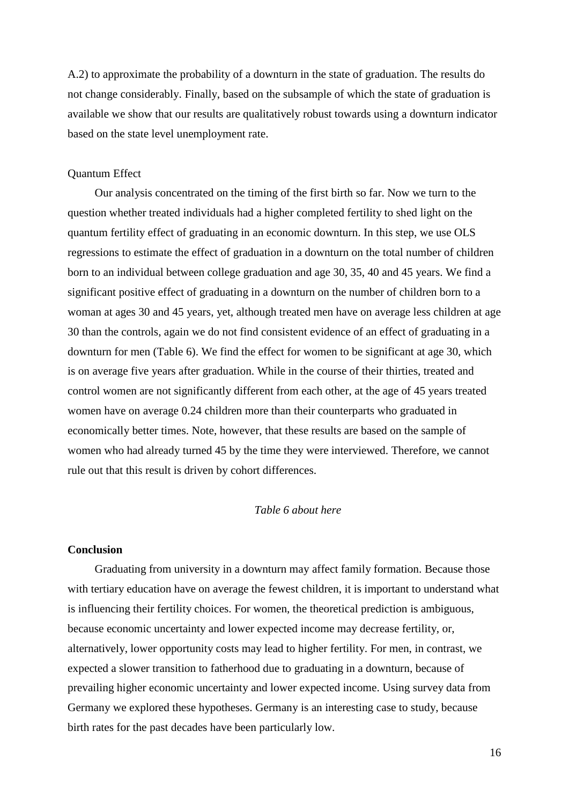A.2) to approximate the probability of a downturn in the state of graduation. The results do not change considerably. Finally, based on the subsample of which the state of graduation is available we show that our results are qualitatively robust towards using a downturn indicator based on the state level unemployment rate.

#### Quantum Effect

Our analysis concentrated on the timing of the first birth so far. Now we turn to the question whether treated individuals had a higher completed fertility to shed light on the quantum fertility effect of graduating in an economic downturn. In this step, we use OLS regressions to estimate the effect of graduation in a downturn on the total number of children born to an individual between college graduation and age 30, 35, 40 and 45 years. We find a significant positive effect of graduating in a downturn on the number of children born to a woman at ages 30 and 45 years, yet, although treated men have on average less children at age 30 than the controls, again we do not find consistent evidence of an effect of graduating in a downturn for men (Table 6). We find the effect for women to be significant at age 30, which is on average five years after graduation. While in the course of their thirties, treated and control women are not significantly different from each other, at the age of 45 years treated women have on average 0.24 children more than their counterparts who graduated in economically better times. Note, however, that these results are based on the sample of women who had already turned 45 by the time they were interviewed. Therefore, we cannot rule out that this result is driven by cohort differences.

## *Table 6 about here*

## **Conclusion**

Graduating from university in a downturn may affect family formation. Because those with tertiary education have on average the fewest children, it is important to understand what is influencing their fertility choices. For women, the theoretical prediction is ambiguous, because economic uncertainty and lower expected income may decrease fertility, or, alternatively, lower opportunity costs may lead to higher fertility. For men, in contrast, we expected a slower transition to fatherhood due to graduating in a downturn, because of prevailing higher economic uncertainty and lower expected income. Using survey data from Germany we explored these hypotheses. Germany is an interesting case to study, because birth rates for the past decades have been particularly low.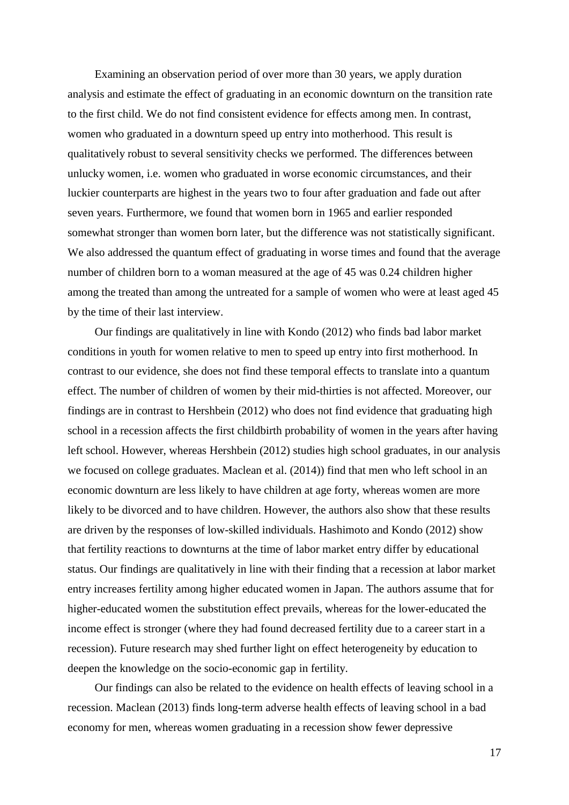Examining an observation period of over more than 30 years, we apply duration analysis and estimate the effect of graduating in an economic downturn on the transition rate to the first child. We do not find consistent evidence for effects among men. In contrast, women who graduated in a downturn speed up entry into motherhood. This result is qualitatively robust to several sensitivity checks we performed. The differences between unlucky women, i.e. women who graduated in worse economic circumstances, and their luckier counterparts are highest in the years two to four after graduation and fade out after seven years. Furthermore, we found that women born in 1965 and earlier responded somewhat stronger than women born later, but the difference was not statistically significant. We also addressed the quantum effect of graduating in worse times and found that the average number of children born to a woman measured at the age of 45 was 0.24 children higher among the treated than among the untreated for a sample of women who were at least aged 45 by the time of their last interview.

Our findings are qualitatively in line with Kondo [\(2012\)](#page-20-3) who finds bad labor market conditions in youth for women relative to men to speed up entry into first motherhood. In contrast to our evidence, she does not find these temporal effects to translate into a quantum effect. The number of children of women by their mid-thirties is not affected. Moreover, our findings are in contrast to Hershbein [\(2012\)](#page-20-1) who does not find evidence that graduating high school in a recession affects the first childbirth probability of women in the years after having left school. However, whereas Hershbein [\(2012\)](#page-20-1) studies high school graduates, in our analysis we focused on college graduates. [Maclean et al. \(2014\)\)](#page-21-4) find that men who left school in an economic downturn are less likely to have children at age forty, whereas women are more likely to be divorced and to have children. However, the authors also show that these results are driven by the responses of low-skilled individuals. Hashimoto and Kondo [\(2012\)](#page-20-2) show that fertility reactions to downturns at the time of labor market entry differ by educational status. Our findings are qualitatively in line with their finding that a recession at labor market entry increases fertility among higher educated women in Japan. The authors assume that for higher-educated women the substitution effect prevails, whereas for the lower-educated the income effect is stronger (where they had found decreased fertility due to a career start in a recession). Future research may shed further light on effect heterogeneity by education to deepen the knowledge on the socio-economic gap in fertility.

Our findings can also be related to the evidence on health effects of leaving school in a recession. Maclean [\(2013\)](#page-21-5) finds long-term adverse health effects of leaving school in a bad economy for men, whereas women graduating in a recession show fewer depressive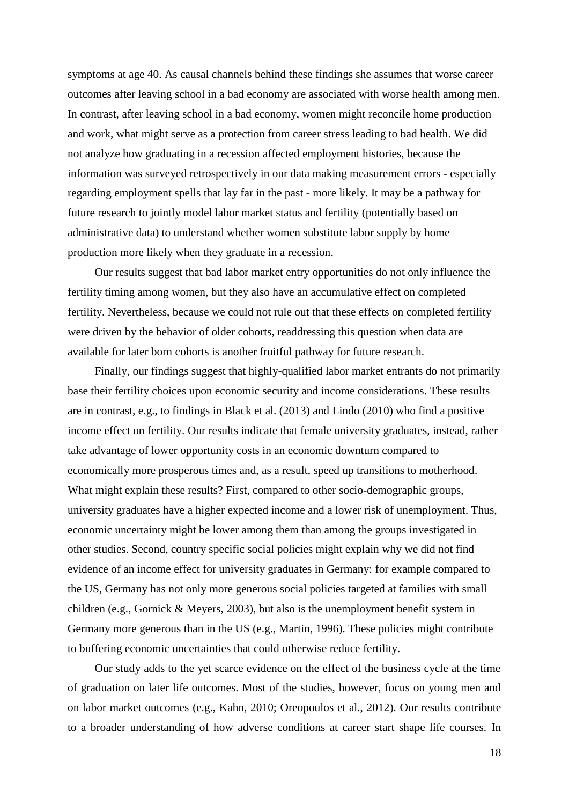symptoms at age 40. As causal channels behind these findings she assumes that worse career outcomes after leaving school in a bad economy are associated with worse health among men. In contrast, after leaving school in a bad economy, women might reconcile home production and work, what might serve as a protection from career stress leading to bad health. We did not analyze how graduating in a recession affected employment histories, because the information was surveyed retrospectively in our data making measurement errors - especially regarding employment spells that lay far in the past - more likely. It may be a pathway for future research to jointly model labor market status and fertility (potentially based on administrative data) to understand whether women substitute labor supply by home production more likely when they graduate in a recession.

Our results suggest that bad labor market entry opportunities do not only influence the fertility timing among women, but they also have an accumulative effect on completed fertility. Nevertheless, because we could not rule out that these effects on completed fertility were driven by the behavior of older cohorts, readdressing this question when data are available for later born cohorts is another fruitful pathway for future research.

Finally, our findings suggest that highly-qualified labor market entrants do not primarily base their fertility choices upon economic security and income considerations. These results are in contrast, e.g., to findings in Black et al. [\(2013\)](#page-19-3) and Lindo [\(2010\)](#page-21-3) who find a positive income effect on fertility. Our results indicate that female university graduates, instead, rather take advantage of lower opportunity costs in an economic downturn compared to economically more prosperous times and, as a result, speed up transitions to motherhood. What might explain these results? First, compared to other socio-demographic groups, university graduates have a higher expected income and a lower risk of unemployment. Thus, economic uncertainty might be lower among them than among the groups investigated in other studies. Second, country specific social policies might explain why we did not find evidence of an income effect for university graduates in Germany: for example compared to the US, Germany has not only more generous social policies targeted at families with small children [\(e.g., Gornick & Meyers, 2003\)](#page-20-5), but also is the unemployment benefit system in Germany more generous than in the US [\(e.g., Martin, 1996\)](#page-21-13). These policies might contribute to buffering economic uncertainties that could otherwise reduce fertility.

Our study adds to the yet scarce evidence on the effect of the business cycle at the time of graduation on later life outcomes. Most of the studies, however, focus on young men and on labor market outcomes (e.g., [Kahn, 2010;](#page-20-0) [Oreopoulos et al., 2012\)](#page-21-0). Our results contribute to a broader understanding of how adverse conditions at career start shape life courses. In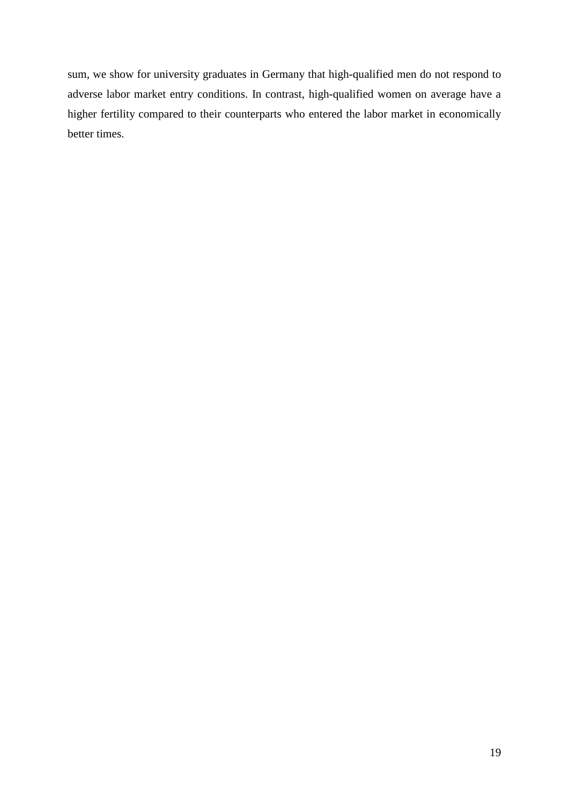sum, we show for university graduates in Germany that high-qualified men do not respond to adverse labor market entry conditions. In contrast, high-qualified women on average have a higher fertility compared to their counterparts who entered the labor market in economically better times.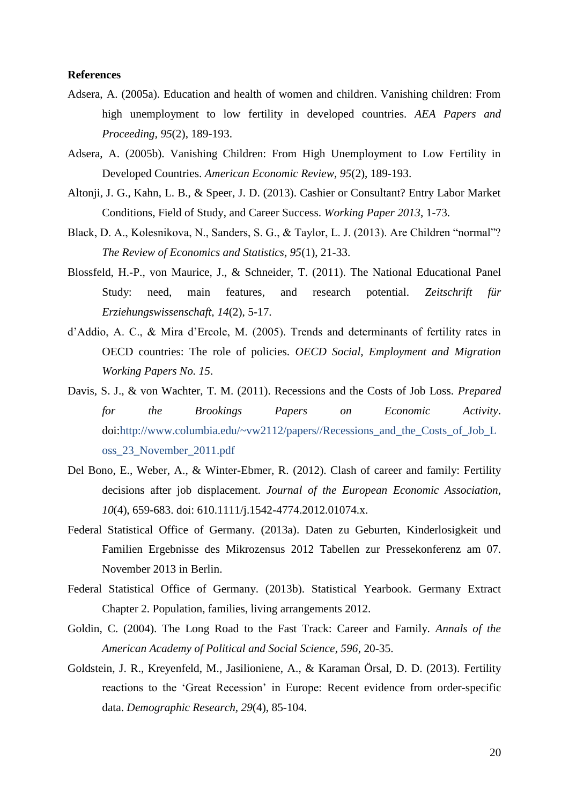#### **References**

- <span id="page-19-11"></span>Adsera, A. (2005a). Education and health of women and children. Vanishing children: From high unemployment to low fertility in developed countries. *AEA Papers and Proceeding, 95*(2), 189-193.
- <span id="page-19-7"></span>Adsera, A. (2005b). Vanishing Children: From High Unemployment to Low Fertility in Developed Countries. *American Economic Review, 95*(2), 189-193.
- <span id="page-19-2"></span>Altonji, J. G., Kahn, L. B., & Speer, J. D. (2013). Cashier or Consultant? Entry Labor Market Conditions, Field of Study, and Career Success. *Working Paper 2013*, 1-73.
- <span id="page-19-3"></span>Black, D. A., Kolesnikova, N., Sanders, S. G., & Taylor, L. J. (2013). Are Children "normal"? *The Review of Economics and Statistics, 95*(1), 21-33.
- <span id="page-19-10"></span>Blossfeld, H.-P., von Maurice, J., & Schneider, T. (2011). The National Educational Panel Study: need, main features, and research potential. *Zeitschrift für Erziehungswissenschaft, 14*(2), 5-17.
- <span id="page-19-4"></span>d'Addio, A. C., & Mira d'Ercole, M. (2005). Trends and determinants of fertility rates in OECD countries: The role of policies. *OECD Social, Employment and Migration Working Papers No. 15*.
- <span id="page-19-0"></span>Davis, S. J., & von Wachter, T. M. (2011). Recessions and the Costs of Job Loss. *Prepared for the Brookings Papers on Economic Activity*. doi[:http://www.columbia.edu/~vw2112/papers//Recessions\\_and\\_the\\_Costs\\_of\\_Job\\_L](http://www.columbia.edu/~vw2112/papers/Recessions_and_the_Costs_of_Job_Loss_23_November_2011.pdf) [oss\\_23\\_November\\_2011.pdf](http://www.columbia.edu/~vw2112/papers/Recessions_and_the_Costs_of_Job_Loss_23_November_2011.pdf)
- <span id="page-19-8"></span>Del Bono, E., Weber, A., & Winter-Ebmer, R. (2012). Clash of career and family: Fertility decisions after job displacement. *Journal of the European Economic Association, 10*(4), 659-683. doi: 610.1111/j.1542-4774.2012.01074.x.
- <span id="page-19-6"></span>Federal Statistical Office of Germany. (2013a). Daten zu Geburten, Kinderlosigkeit und Familien Ergebnisse des Mikrozensus 2012 Tabellen zur Pressekonferenz am 07. November 2013 in Berlin.
- <span id="page-19-5"></span>Federal Statistical Office of Germany. (2013b). Statistical Yearbook. Germany Extract Chapter 2. Population, families, living arrangements 2012.
- <span id="page-19-9"></span>Goldin, C. (2004). The Long Road to the Fast Track: Career and Family. *Annals of the American Academy of Political and Social Science, 596*, 20-35.
- <span id="page-19-1"></span>Goldstein, J. R., Kreyenfeld, M., Jasilioniene, A., & Karaman Örsal, D. D. (2013). Fertility reactions to the 'Great Recession' in Europe: Recent evidence from order-specific data. *Demographic Research, 29*(4), 85-104.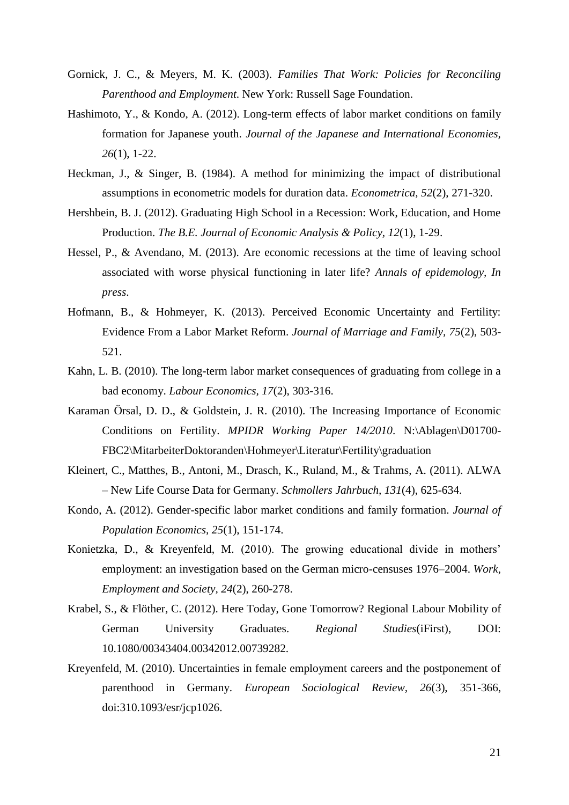- <span id="page-20-5"></span>Gornick, J. C., & Meyers, M. K. (2003). *Families That Work: Policies for Reconciling Parenthood and Employment*. New York: Russell Sage Foundation.
- <span id="page-20-2"></span>Hashimoto, Y., & Kondo, A. (2012). Long-term effects of labor market conditions on family formation for Japanese youth. *Journal of the Japanese and International Economies, 26*(1), 1-22.
- <span id="page-20-12"></span>Heckman, J., & Singer, B. (1984). A method for minimizing the impact of distributional assumptions in econometric models for duration data. *Econometrica, 52*(2), 271-320.
- <span id="page-20-1"></span>Hershbein, B. J. (2012). Graduating High School in a Recession: Work, Education, and Home Production. *The B.E. Journal of Economic Analysis & Policy, 12*(1), 1-29.
- <span id="page-20-4"></span>Hessel, P., & Avendano, M. (2013). Are economic recessions at the time of leaving school associated with worse physical functioning in later life? *Annals of epidemology, In press*.
- <span id="page-20-7"></span>Hofmann, B., & Hohmeyer, K. (2013). Perceived Economic Uncertainty and Fertility: Evidence From a Labor Market Reform. *Journal of Marriage and Family, 75*(2), 503- 521.
- <span id="page-20-0"></span>Kahn, L. B. (2010). The long-term labor market consequences of graduating from college in a bad economy. *Labour Economics, 17*(2), 303-316.
- <span id="page-20-6"></span>Karaman Örsal, D. D., & Goldstein, J. R. (2010). The Increasing Importance of Economic Conditions on Fertility. *MPIDR Working Paper 14/2010*. N:\Ablagen\D01700- FBC2\MitarbeiterDoktoranden\Hohmeyer\Literatur\Fertility\graduation
- <span id="page-20-10"></span>Kleinert, C., Matthes, B., Antoni, M., Drasch, K., Ruland, M., & Trahms, A. (2011). ALWA – New Life Course Data for Germany. *Schmollers Jahrbuch, 131*(4), 625-634.
- <span id="page-20-3"></span>Kondo, A. (2012). Gender-specific labor market conditions and family formation. *Journal of Population Economics, 25*(1), 151-174.
- <span id="page-20-9"></span>Konietzka, D., & Kreyenfeld, M. (2010). The growing educational divide in mothers' employment: an investigation based on the German micro-censuses 1976–2004. *Work, Employment and Society, 24*(2), 260-278.
- <span id="page-20-11"></span>Krabel, S., & Flöther, C. (2012). Here Today, Gone Tomorrow? Regional Labour Mobility of German University Graduates. *Regional Studies*(iFirst), DOI: 10.1080/00343404.00342012.00739282.
- <span id="page-20-8"></span>Kreyenfeld, M. (2010). Uncertainties in female employment careers and the postponement of parenthood in Germany. *European Sociological Review, 26*(3), 351-366, doi:310.1093/esr/jcp1026.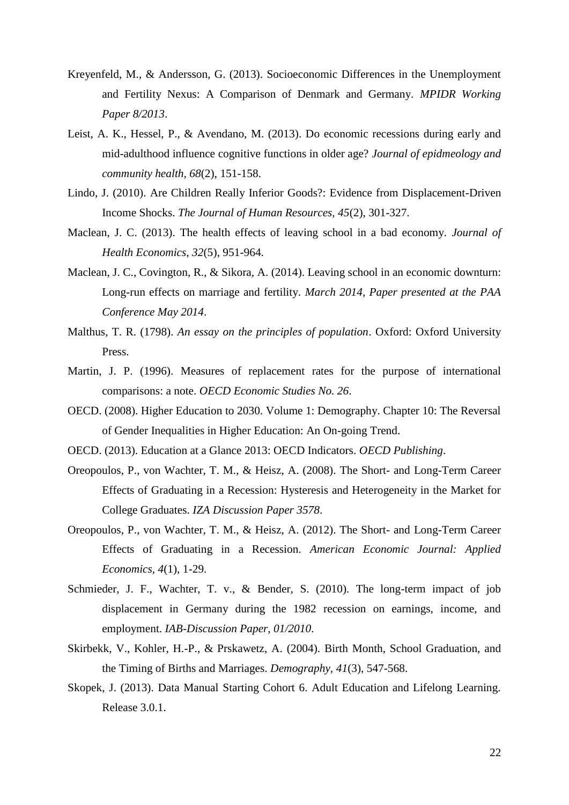- <span id="page-21-2"></span>Kreyenfeld, M., & Andersson, G. (2013). Socioeconomic Differences in the Unemployment and Fertility Nexus: A Comparison of Denmark and Germany. *MPIDR Working Paper 8/2013*.
- <span id="page-21-1"></span>Leist, A. K., Hessel, P., & Avendano, M. (2013). Do economic recessions during early and mid-adulthood influence cognitive functions in older age? *Journal of epidmeology and community health, 68*(2), 151-158.
- <span id="page-21-3"></span>Lindo, J. (2010). Are Children Really Inferior Goods?: Evidence from Displacement-Driven Income Shocks. *The Journal of Human Resources, 45*(2), 301-327.
- <span id="page-21-5"></span>Maclean, J. C. (2013). The health effects of leaving school in a bad economy. *Journal of Health Economics, 32*(5), 951-964.
- <span id="page-21-4"></span>Maclean, J. C., Covington, R., & Sikora, A. (2014). Leaving school in an economic downturn: Long-run effects on marriage and fertility. *March 2014, Paper presented at the PAA Conference May 2014*.
- <span id="page-21-8"></span>Malthus, T. R. (1798). *An essay on the principles of population*. Oxford: Oxford University Press.
- <span id="page-21-13"></span>Martin, J. P. (1996). Measures of replacement rates for the purpose of international comparisons: a note. *OECD Economic Studies No. 26*.
- <span id="page-21-7"></span>OECD. (2008). Higher Education to 2030. Volume 1: Demography. Chapter 10: The Reversal of Gender Inequalities in Higher Education: An On-going Trend.
- <span id="page-21-6"></span>OECD. (2013). Education at a Glance 2013: OECD Indicators. *OECD Publishing*.
- <span id="page-21-12"></span>Oreopoulos, P., von Wachter, T. M., & Heisz, A. (2008). The Short- and Long-Term Career Effects of Graduating in a Recession: Hysteresis and Heterogeneity in the Market for College Graduates. *IZA Discussion Paper 3578*.
- <span id="page-21-0"></span>Oreopoulos, P., von Wachter, T. M., & Heisz, A. (2012). The Short- and Long-Term Career Effects of Graduating in a Recession. *American Economic Journal: Applied Economics, 4*(1), 1-29.
- <span id="page-21-9"></span>Schmieder, J. F., Wachter, T. v., & Bender, S. (2010). The long-term impact of job displacement in Germany during the 1982 recession on earnings, income, and employment. *IAB-Discussion Paper, 01/2010*.
- <span id="page-21-11"></span>Skirbekk, V., Kohler, H.-P., & Prskawetz, A. (2004). Birth Month, School Graduation, and the Timing of Births and Marriages. *Demography, 41*(3), 547-568.
- <span id="page-21-10"></span>Skopek, J. (2013). Data Manual Starting Cohort 6. Adult Education and Lifelong Learning. Release 3.0.1.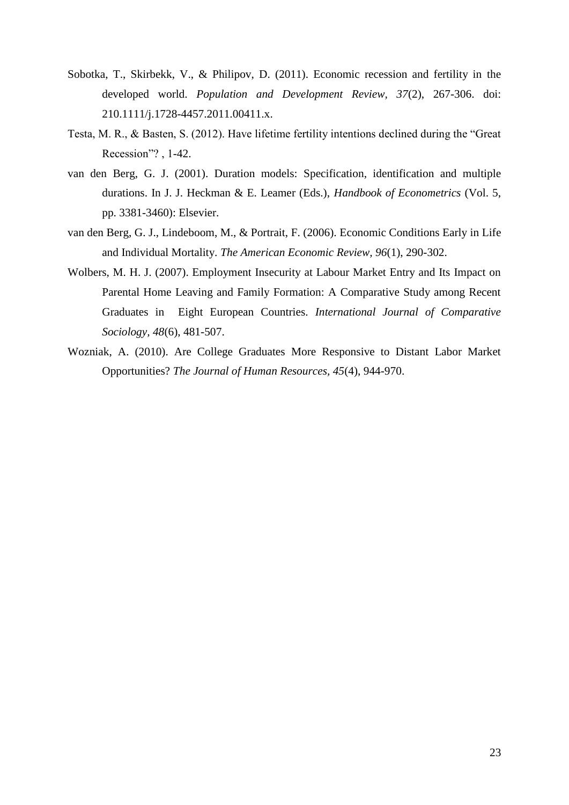- <span id="page-22-1"></span>Sobotka, T., Skirbekk, V., & Philipov, D. (2011). Economic recession and fertility in the developed world. *Population and Development Review, 37*(2), 267-306. doi: 210.1111/j.1728-4457.2011.00411.x.
- <span id="page-22-3"></span>Testa, M. R., & Basten, S. (2012). Have lifetime fertility intentions declined during the "Great Recession"?, 1-42.
- <span id="page-22-5"></span>van den Berg, G. J. (2001). Duration models: Specification, identification and multiple durations. In J. J. Heckman & E. Leamer (Eds.), *Handbook of Econometrics* (Vol. 5, pp. 3381-3460): Elsevier.
- <span id="page-22-0"></span>van den Berg, G. J., Lindeboom, M., & Portrait, F. (2006). Economic Conditions Early in Life and Individual Mortality. *The American Economic Review, 96*(1), 290-302.
- <span id="page-22-2"></span>Wolbers, M. H. J. (2007). Employment Insecurity at Labour Market Entry and Its Impact on Parental Home Leaving and Family Formation: A Comparative Study among Recent Graduates in Eight European Countries. *International Journal of Comparative Sociology, 48*(6), 481-507.
- <span id="page-22-4"></span>Wozniak, A. (2010). Are College Graduates More Responsive to Distant Labor Market Opportunities? *The Journal of Human Resources, 45*(4), 944-970.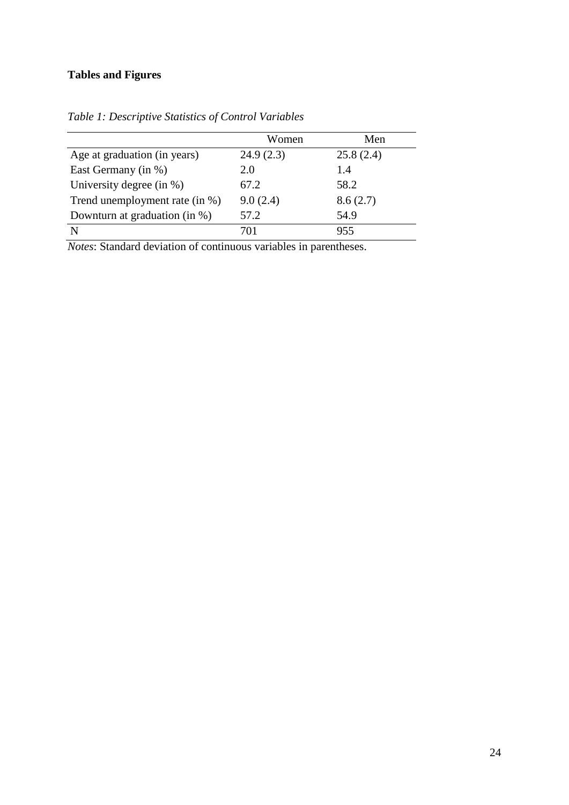# **Tables and Figures**

|                                | Women     | Men       |
|--------------------------------|-----------|-----------|
| Age at graduation (in years)   | 24.9(2.3) | 25.8(2.4) |
| East Germany (in %)            | 2.0       | 1.4       |
| University degree (in $\%$ )   | 67.2      | 58.2      |
| Trend unemployment rate (in %) | 9.0(2.4)  | 8.6(2.7)  |
| Downturn at graduation (in %)  | 57.2      | 54.9      |
|                                | 701       | 955       |

*Table 1: Descriptive Statistics of Control Variables*

*Notes*: Standard deviation of continuous variables in parentheses.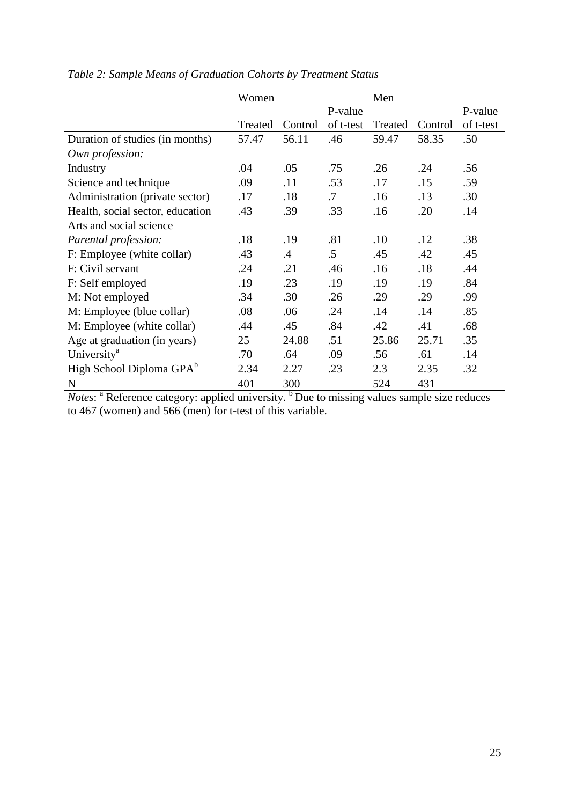|                                      | Women   |         |           | Men     |         |           |  |
|--------------------------------------|---------|---------|-----------|---------|---------|-----------|--|
|                                      |         |         | P-value   |         |         | P-value   |  |
|                                      | Treated | Control | of t-test | Treated | Control | of t-test |  |
| Duration of studies (in months)      | 57.47   | 56.11   | .46       | 59.47   | 58.35   | .50       |  |
| Own profession:                      |         |         |           |         |         |           |  |
| Industry                             | .04     | .05     | .75       | .26     | .24     | .56       |  |
| Science and technique                | .09     | .11     | .53       | .17     | .15     | .59       |  |
| Administration (private sector)      | .17     | .18     | .7        | .16     | .13     | .30       |  |
| Health, social sector, education     | .43     | .39     | .33       | .16     | .20     | .14       |  |
| Arts and social science              |         |         |           |         |         |           |  |
| Parental profession:                 | .18     | .19     | .81       | .10     | .12     | .38       |  |
| F: Employee (white collar)           | .43     | .4      | $.5\,$    | .45     | .42     | .45       |  |
| F: Civil servant                     | .24     | .21     | .46       | .16     | .18     | .44       |  |
| F: Self employed                     | .19     | .23     | .19       | .19     | .19     | .84       |  |
| M: Not employed                      | .34     | .30     | .26       | .29     | .29     | .99       |  |
| M: Employee (blue collar)            | .08     | .06     | .24       | .14     | .14     | .85       |  |
| M: Employee (white collar)           | .44     | .45     | .84       | .42     | .41     | .68       |  |
| Age at graduation (in years)         | 25      | 24.88   | .51       | 25.86   | 25.71   | .35       |  |
| University <sup>a</sup>              | .70     | .64     | .09       | .56     | .61     | .14       |  |
| High School Diploma GPA <sup>b</sup> | 2.34    | 2.27    | .23       | 2.3     | 2.35    | .32       |  |
| N                                    | 401     | 300     |           | 524     | 431     |           |  |

|--|

*Notes*: <sup>a</sup> Reference category: applied university. <sup>b</sup> Due to missing values sample size reduces to 467 (women) and 566 (men) for t-test of this variable.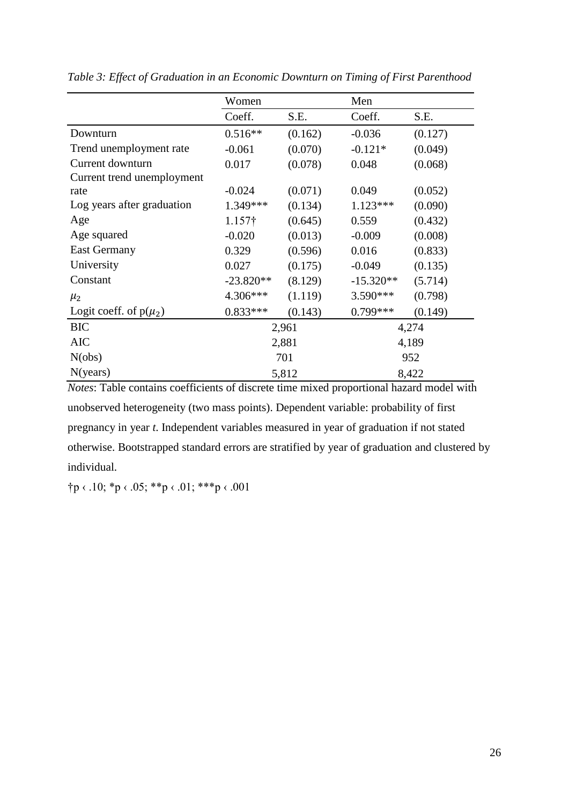|                            | Women              |                  | Men         |         |  |  |
|----------------------------|--------------------|------------------|-------------|---------|--|--|
|                            | Coeff.             | S.E.             | Coeff.      | S.E.    |  |  |
| Downturn                   | $0.516**$          | (0.162)          | $-0.036$    | (0.127) |  |  |
| Trend unemployment rate    | $-0.061$           | (0.070)          | $-0.121*$   | (0.049) |  |  |
| Current downturn           | 0.017              | (0.078)          | 0.048       | (0.068) |  |  |
| Current trend unemployment |                    |                  |             |         |  |  |
| rate                       | $-0.024$           | (0.071)          | 0.049       | (0.052) |  |  |
| Log years after graduation | 1.349***           | (0.134)          | $1.123***$  | (0.090) |  |  |
| Age                        | 1.157 <sup>†</sup> | 0.559<br>(0.645) |             | (0.432) |  |  |
| Age squared                | $-0.020$           | (0.013)          | $-0.009$    | (0.008) |  |  |
| <b>East Germany</b>        | 0.329              | (0.596)          | 0.016       | (0.833) |  |  |
| University                 | 0.027              | (0.175)          | $-0.049$    | (0.135) |  |  |
| Constant                   | $-23.820**$        | (8.129)          | $-15.320**$ | (5.714) |  |  |
| $\mu_2$                    | 4.306***           | (1.119)          | 3.590***    | (0.798) |  |  |
| Logit coeff. of $p(\mu_2)$ | $0.833***$         | (0.143)          | $0.799***$  | (0.149) |  |  |
| <b>BIC</b>                 |                    | 2,961            |             | 4,274   |  |  |
| <b>AIC</b>                 |                    | 2,881            | 4,189       |         |  |  |
| N(obs)                     |                    | 701              | 952         |         |  |  |
| N(years)                   |                    | 5,812            | 8,422       |         |  |  |

*Table 3: Effect of Graduation in an Economic Downturn on Timing of First Parenthood* 

*Notes*: Table contains coefficients of discrete time mixed proportional hazard model with unobserved heterogeneity (two mass points). Dependent variable: probability of first pregnancy in year *t*. Independent variables measured in year of graduation if not stated otherwise. Bootstrapped standard errors are stratified by year of graduation and clustered by individual.

†p ‹ .10; \*p ‹ .05; \*\*p ‹ .01; \*\*\*p ‹ .001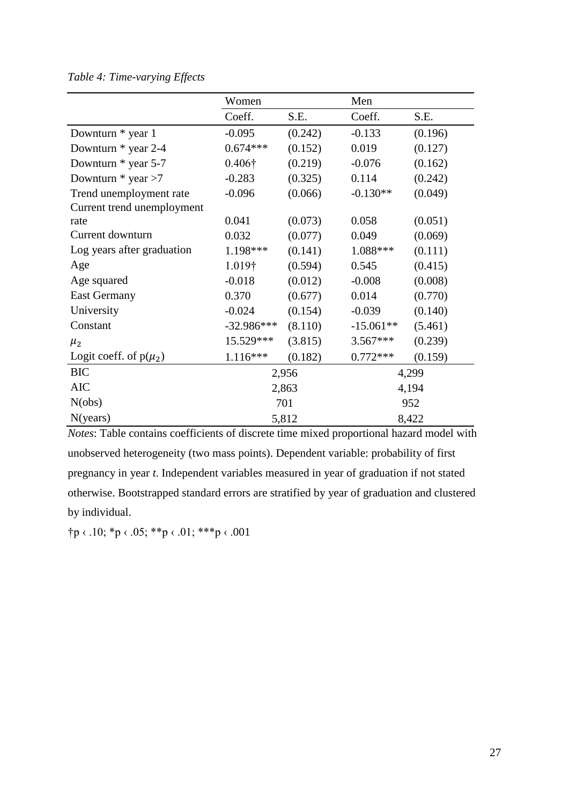## *Table 4: Time-varying Effects*

|                            | Women          |                     | Men         |         |  |
|----------------------------|----------------|---------------------|-------------|---------|--|
|                            | Coeff.         | S.E.                | Coeff.      | S.E.    |  |
| Downturn * year 1          | $-0.095$       | (0.242)             | $-0.133$    | (0.196) |  |
| Downturn * year 2-4        | $0.674***$     | (0.152)             | 0.019       | (0.127) |  |
| Downturn * year 5-7        | $0.406\dagger$ | (0.219)             | $-0.076$    | (0.162) |  |
| Downturn $*$ year $>7$     | $-0.283$       | (0.325)             | 0.114       | (0.242) |  |
| Trend unemployment rate    | $-0.096$       | (0.066)             | $-0.130**$  | (0.049) |  |
| Current trend unemployment |                |                     |             |         |  |
| rate                       | 0.041          | (0.073)             | 0.058       | (0.051) |  |
| Current downturn           | 0.032          | (0.077)<br>0.049    |             | (0.069) |  |
| Log years after graduation | 1.198***       | 1.088***<br>(0.141) |             | (0.111) |  |
| Age                        | $1.019\dagger$ | (0.594)             | 0.545       | (0.415) |  |
| Age squared                | $-0.018$       | (0.012)<br>$-0.008$ |             | (0.008) |  |
| <b>East Germany</b>        | 0.370          | (0.677)             | 0.014       | (0.770) |  |
| University                 | $-0.024$       | (0.154)             | $-0.039$    | (0.140) |  |
| Constant                   | $-32.986***$   | (8.110)             | $-15.061**$ | (5.461) |  |
| $\mu_{2}$                  | 15.529***      | (3.815)             | $3.567***$  | (0.239) |  |
| Logit coeff. of $p(\mu_2)$ | 1.116***       | (0.182)             | $0.772***$  | (0.159) |  |
| <b>BIC</b>                 |                | 2,956               |             | 4,299   |  |
| <b>AIC</b>                 |                | 2,863               |             | 4,194   |  |
| N(obs)                     | 701            |                     |             | 952     |  |
| N(years)                   |                | 5,812               | 8,422       |         |  |

*Notes*: Table contains coefficients of discrete time mixed proportional hazard model with unobserved heterogeneity (two mass points). Dependent variable: probability of first pregnancy in year *t*. Independent variables measured in year of graduation if not stated otherwise. Bootstrapped standard errors are stratified by year of graduation and clustered by individual.

†p ‹ .10; \*p ‹ .05; \*\*p ‹ .01; \*\*\*p ‹ .001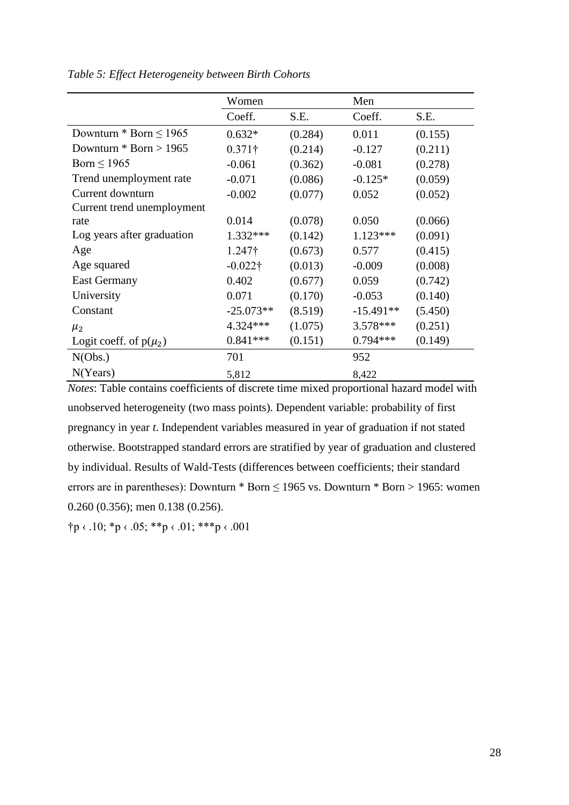|                             | Women           |         | Men         |         |
|-----------------------------|-----------------|---------|-------------|---------|
|                             | Coeff.          | S.E.    | Coeff.      | S.E.    |
| Downturn * Born $\leq 1965$ | $0.632*$        | (0.284) | 0.011       | (0.155) |
| Downturn $*$ Born > 1965    | $0.371\dagger$  | (0.214) | $-0.127$    | (0.211) |
| Born $\leq 1965$            | $-0.061$        | (0.362) | $-0.081$    | (0.278) |
| Trend unemployment rate     | $-0.071$        | (0.086) | $-0.125*$   | (0.059) |
| Current downturn            | $-0.002$        | (0.077) | 0.052       | (0.052) |
| Current trend unemployment  |                 |         |             |         |
| rate                        | 0.014           | (0.078) | 0.050       | (0.066) |
| Log years after graduation  | $1.332***$      | (0.142) | $1.123***$  | (0.091) |
| Age                         | $1.247\dagger$  | (0.673) | 0.577       | (0.415) |
| Age squared                 | $-0.022\dagger$ | (0.013) | $-0.009$    | (0.008) |
| <b>East Germany</b>         | 0.402           | (0.677) | 0.059       | (0.742) |
| University                  | 0.071           | (0.170) | $-0.053$    | (0.140) |
| Constant                    | $-25.073**$     | (8.519) | $-15.491**$ | (5.450) |
| $\mu_{2}$                   | 4.324 ***       | (1.075) | $3.578***$  | (0.251) |
| Logit coeff. of $p(\mu_2)$  | $0.841***$      | (0.151) | $0.794***$  | (0.149) |
| N(Obs.)                     | 701             |         | 952         |         |
| N(Years)                    | 5,812           |         | 8,422       |         |

*Table 5: Effect Heterogeneity between Birth Cohorts*

*Notes*: Table contains coefficients of discrete time mixed proportional hazard model with unobserved heterogeneity (two mass points). Dependent variable: probability of first pregnancy in year *t*. Independent variables measured in year of graduation if not stated otherwise. Bootstrapped standard errors are stratified by year of graduation and clustered by individual. Results of Wald-Tests (differences between coefficients; their standard errors are in parentheses): Downturn  $*$  Born  $\leq$  1965 vs. Downturn  $*$  Born  $>$  1965: women 0.260 (0.356); men 0.138 (0.256).

 $\uparrow p \leftarrow 10; \uparrow p \leftarrow 05; \uparrow \uparrow p \leftarrow 01; \uparrow \uparrow \uparrow p \leftarrow 001$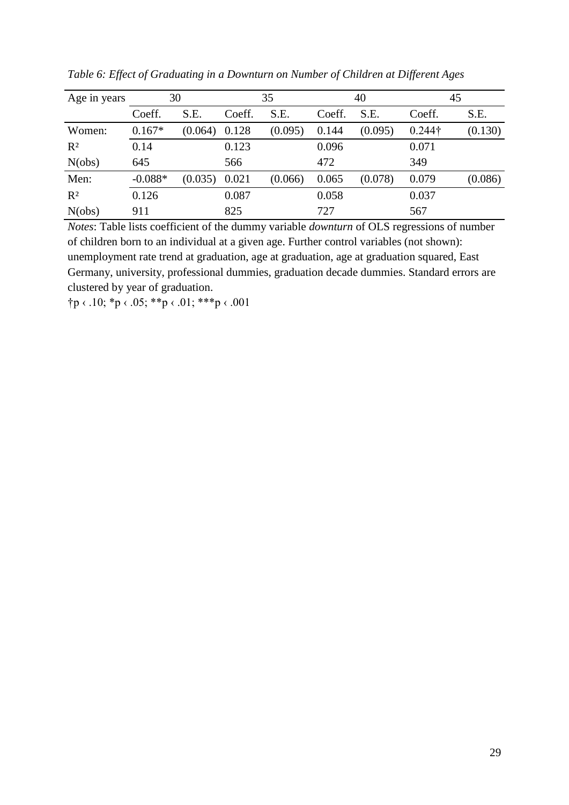| Age in years | 30        |         |        | 35      |        | 40      | 45             |         |  |
|--------------|-----------|---------|--------|---------|--------|---------|----------------|---------|--|
|              | Coeff.    | S.E.    | Coeff. | S.E.    | Coeff. | S.E.    | Coeff.         | S.E.    |  |
| Women:       | $0.167*$  | (0.064) | 0.128  | (0.095) | 0.144  | (0.095) | $0.244\dagger$ | (0.130) |  |
| $R^2$        | 0.14      |         | 0.123  |         | 0.096  |         | 0.071          |         |  |
| N(obs)       | 645       |         | 566    |         | 472    |         | 349            |         |  |
| Men:         | $-0.088*$ | (0.035) | 0.021  | (0.066) | 0.065  | (0.078) | 0.079          | (0.086) |  |
| $R^2$        | 0.126     |         | 0.087  |         | 0.058  |         | 0.037          |         |  |
| N(obs)       | 911       |         | 825    |         | 727    |         | 567            |         |  |

*Table 6: Effect of Graduating in a Downturn on Number of Children at Different Ages*

*Notes*: Table lists coefficient of the dummy variable *downturn* of OLS regressions of number of children born to an individual at a given age. Further control variables (not shown): unemployment rate trend at graduation, age at graduation, age at graduation squared, East Germany, university, professional dummies, graduation decade dummies. Standard errors are clustered by year of graduation.

 $\uparrow p \leftarrow 10; \uparrow p \leftarrow 05; \uparrow \uparrow p \leftarrow 01; \uparrow \uparrow \uparrow p \leftarrow 001$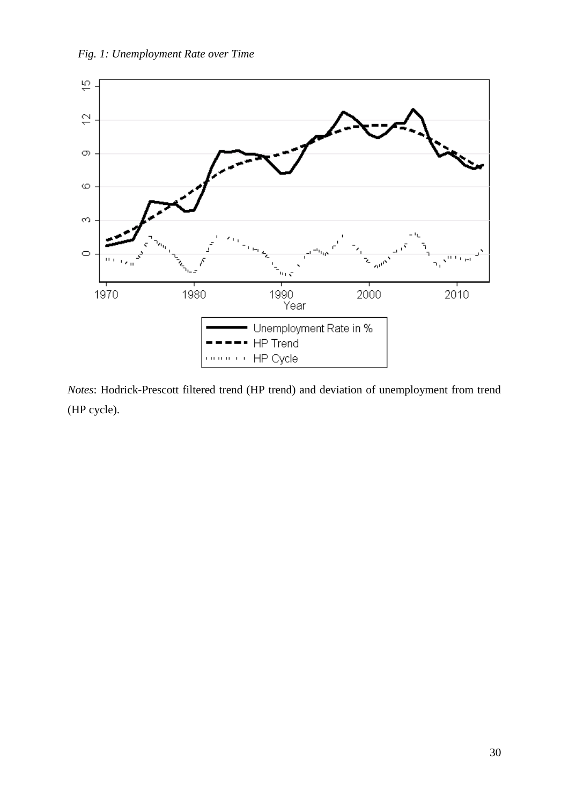



*Notes*: Hodrick-Prescott filtered trend (HP trend) and deviation of unemployment from trend (HP cycle).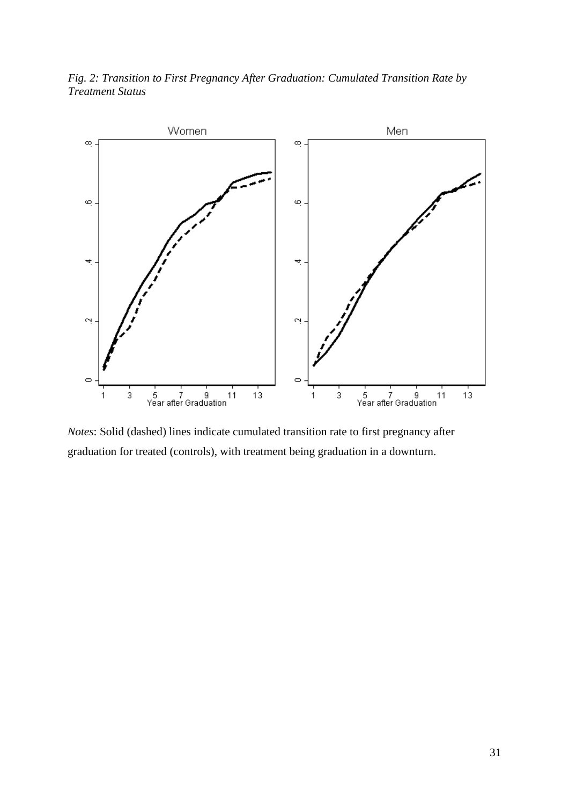*Fig. 2: Transition to First Pregnancy After Graduation: Cumulated Transition Rate by Treatment Status*



*Notes*: Solid (dashed) lines indicate cumulated transition rate to first pregnancy after graduation for treated (controls), with treatment being graduation in a downturn.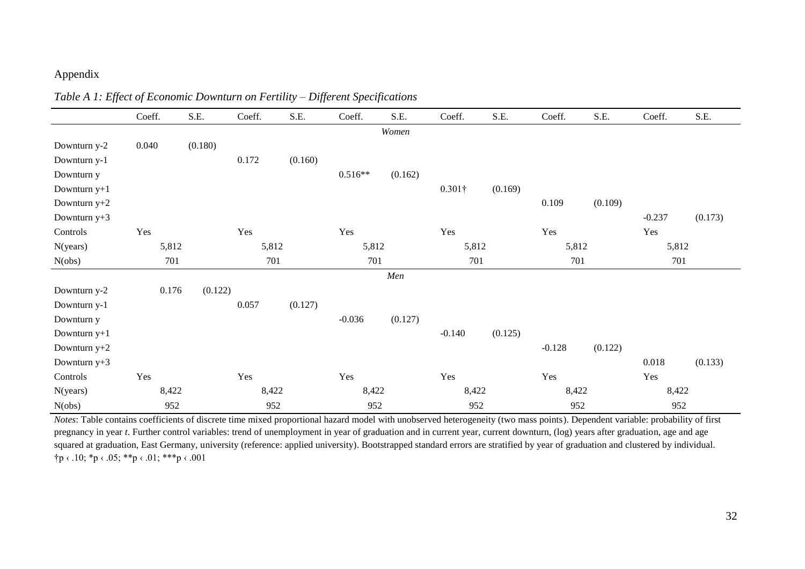## Appendix

|                | Coeff.         | S.E.    | Coeff. | S.E.    | Coeff.    | S.E.    | Coeff.         | S.E.    | Coeff.   | S.E.    | Coeff.   | S.E.    |
|----------------|----------------|---------|--------|---------|-----------|---------|----------------|---------|----------|---------|----------|---------|
|                |                |         |        |         |           | Women   |                |         |          |         |          |         |
| Downturn y-2   | 0.040          | (0.180) |        |         |           |         |                |         |          |         |          |         |
| Downturn y-1   |                |         | 0.172  | (0.160) |           |         |                |         |          |         |          |         |
| Downturn y     |                |         |        |         | $0.516**$ | (0.162) |                |         |          |         |          |         |
| Downturn $y+1$ |                |         |        |         |           |         | $0.301\dagger$ | (0.169) |          |         |          |         |
| Downturn y+2   |                |         |        |         |           |         |                |         | 0.109    | (0.109) |          |         |
| Downturn y+3   |                |         |        |         |           |         |                |         |          |         | $-0.237$ | (0.173) |
| Controls       | Yes            |         | Yes    |         | Yes       |         | Yes            |         | Yes      |         | Yes      |         |
| N(years)       | 5,812<br>5,812 |         | 5,812  |         | 5,812     |         | 5,812          |         | 5,812    |         |          |         |
| N(obs)         | 701            |         | 701    |         | 701       |         | 701            |         | 701      |         | 701      |         |
|                |                |         |        |         |           | Men     |                |         |          |         |          |         |
| Downturn y-2   | 0.176          | (0.122) |        |         |           |         |                |         |          |         |          |         |
| Downturn y-1   |                |         | 0.057  | (0.127) |           |         |                |         |          |         |          |         |
| Downturn y     |                |         |        |         | $-0.036$  | (0.127) |                |         |          |         |          |         |
| Downturn $y+1$ |                |         |        |         |           |         | $-0.140$       | (0.125) |          |         |          |         |
| Downturn $y+2$ |                |         |        |         |           |         |                |         | $-0.128$ | (0.122) |          |         |
| Downturn $y+3$ |                |         |        |         |           |         |                |         |          |         | 0.018    | (0.133) |
| Controls       | Yes            |         | Yes    |         | Yes       |         | Yes            |         | Yes      |         | Yes      |         |
| N(years)       | 8,422          |         | 8,422  |         | 8,422     |         | 8,422          |         | 8,422    |         | 8,422    |         |
| N(obs)         | 952            |         | 952    |         | 952       |         | 952            |         | 952      |         | 952      |         |

*Table A 1: Effect of Economic Downturn on Fertility – Different Specifications* 

*Notes*: Table contains coefficients of discrete time mixed proportional hazard model with unobserved heterogeneity (two mass points). Dependent variable: probability of first pregnancy in year *t*. Further control variables: trend of unemployment in year of graduation and in current year, current downturn, (log) years after graduation, age and age squared at graduation, East Germany, university (reference: applied university). Bootstrapped standard errors are stratified by year of graduation and clustered by individual.  $\uparrow p \leftarrow .10; \uparrow p \leftarrow .05; \uparrow \uparrow p \leftarrow .01; \uparrow \uparrow \uparrow p \leftarrow .001$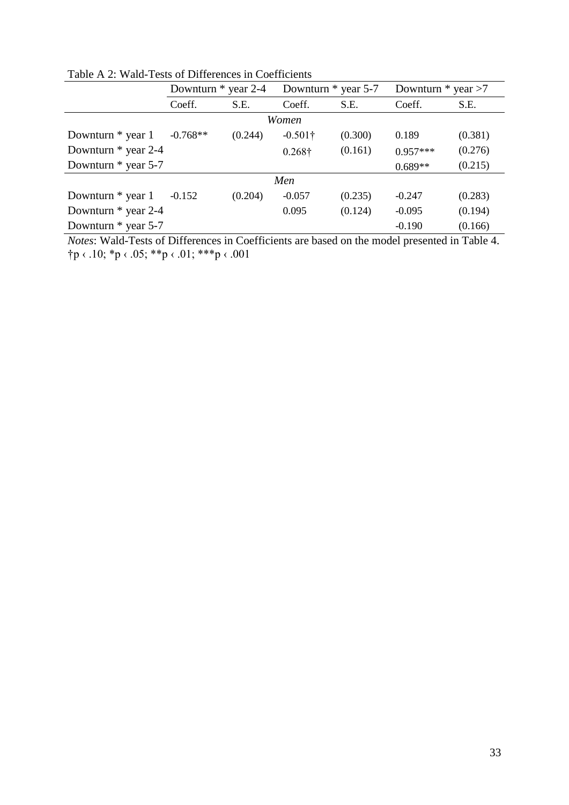|                     | Downturn $*$ year 2-4            |         | Downturn * year 5-7 |         | Downturn $*$ year $>7$ |         |  |  |  |  |  |  |
|---------------------|----------------------------------|---------|---------------------|---------|------------------------|---------|--|--|--|--|--|--|
|                     | S.E.<br>S.E.<br>Coeff.<br>Coeff. |         |                     | Coeff.  | S.E.                   |         |  |  |  |  |  |  |
| Women               |                                  |         |                     |         |                        |         |  |  |  |  |  |  |
| Downturn $*$ year 1 | $-0.768**$                       | (0.244) | $-0.501\dagger$     | (0.300) | 0.189                  | (0.381) |  |  |  |  |  |  |
| Downturn * year 2-4 |                                  |         | $0.268\dagger$      | (0.161) | $0.957***$             | (0.276) |  |  |  |  |  |  |
| Downturn * year 5-7 |                                  |         |                     |         | $0.689**$              | (0.215) |  |  |  |  |  |  |
|                     |                                  |         | Men                 |         |                        |         |  |  |  |  |  |  |
| Downturn $*$ year 1 | $-0.152$                         | (0.204) | $-0.057$            | (0.235) | $-0.247$               | (0.283) |  |  |  |  |  |  |
| Downturn * year 2-4 |                                  |         | 0.095               | (0.124) | $-0.095$               | (0.194) |  |  |  |  |  |  |
| Downturn * year 5-7 |                                  |         |                     |         | $-0.190$               | (0.166) |  |  |  |  |  |  |

Table A 2: Wald-Tests of Differences in Coefficients

*Notes*: Wald-Tests of Differences in Coefficients are based on the model presented in Table 4.  $\uparrow p \leftarrow .10; \ast p \leftarrow .05; \ast \ast p \leftarrow .01; \ast \ast \ast p \leftarrow .001$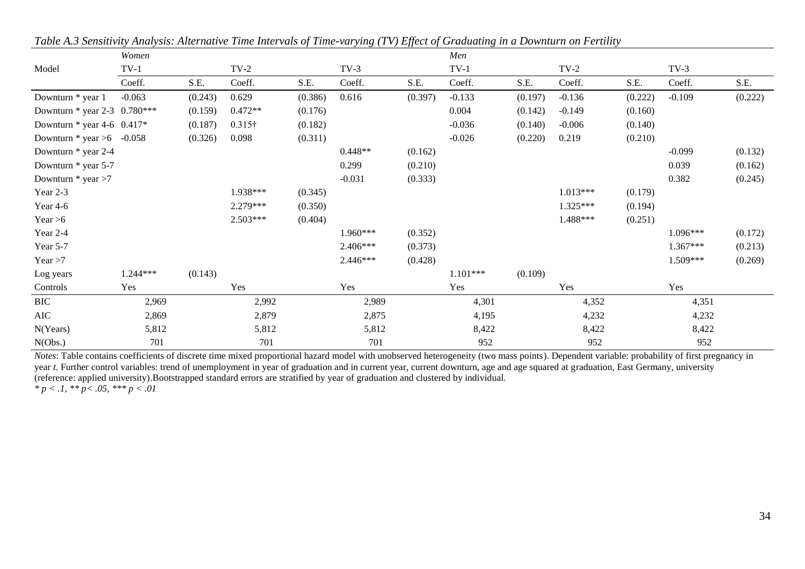|                                 | Women    |         |                |         |           |         | Men        |         |            |         |          |         |
|---------------------------------|----------|---------|----------------|---------|-----------|---------|------------|---------|------------|---------|----------|---------|
| Model                           | $TV-1$   |         | $TV-2$         |         | $TV-3$    |         | $TV-1$     |         | $TV-2$     |         | $TV-3$   |         |
|                                 | Coeff.   | S.E.    | Coeff.         | S.E.    | Coeff.    | S.E.    | Coeff.     | S.E.    | Coeff.     | S.E.    | Coeff.   | S.E.    |
| Downturn * year 1               | $-0.063$ | (0.243) | 0.629          | (0.386) | 0.616     | (0.397) | $-0.133$   | (0.197) | $-0.136$   | (0.222) | $-0.109$ | (0.222) |
| Downturn * year 2-3 $0.780***$  |          | (0.159) | $0.472**$      | (0.176) |           |         | 0.004      | (0.142) | $-0.149$   | (0.160) |          |         |
| Downturn $*$ year 4-6 0.417 $*$ |          | (0.187) | $0.315\dagger$ | (0.182) |           |         | $-0.036$   | (0.140) | $-0.006$   | (0.140) |          |         |
| Downturn $*$ year >6 -0.058     |          | (0.326) | 0.098          | (0.311) |           |         | $-0.026$   | (0.220) | 0.219      | (0.210) |          |         |
| Downturn * year 2-4             |          |         |                |         | $0.448**$ | (0.162) |            |         |            |         | $-0.099$ | (0.132) |
| Downturn * year 5-7             |          |         |                |         | 0.299     | (0.210) |            |         |            |         | 0.039    | (0.162) |
| Downturn * year >7              |          |         |                |         | $-0.031$  | (0.333) |            |         |            |         | 0.382    | (0.245) |
| Year 2-3                        |          |         | 1.938***       | (0.345) |           |         |            |         | $1.013***$ | (0.179) |          |         |
| Year 4-6                        |          |         | 2.279***       | (0.350) |           |         |            |         | $1.325***$ | (0.194) |          |         |
| Year $>6$                       |          |         | $2.503***$     | (0.404) |           |         |            |         | 1.488***   | (0.251) |          |         |
| Year 2-4                        |          |         |                |         | 1.960***  | (0.352) |            |         |            |         | 1.096*** | (0.172) |
| Year 5-7                        |          |         |                |         | 2.406***  | (0.373) |            |         |            |         | 1.367*** | (0.213) |
| Year $>7$                       |          |         |                |         | 2.446***  | (0.428) |            |         |            |         | 1.509*** | (0.269) |
| Log years                       | 1.244*** | (0.143) |                |         |           |         | $1.101***$ | (0.109) |            |         |          |         |
| Controls                        | Yes      |         | Yes            |         | Yes       |         | Yes        |         | Yes        |         | Yes      |         |
| <b>BIC</b>                      | 2,969    |         | 2,992          |         | 2,989     |         | 4,301      |         | 4,352      |         | 4,351    |         |
| AIC                             | 2,869    |         | 2,879          |         | 2,875     |         | 4,195      |         | 4,232      |         | 4,232    |         |
| N(Years)                        | 5,812    |         | 5,812          |         | 5,812     |         | 8,422      |         | 8,422      |         | 8,422    |         |
| N(Obs.)                         | 701      |         | 701            |         | 701       |         | 952        |         | 952        |         | 952      |         |

*Table A.3 Sensitivity Analysis: Alternative Time Intervals of Time-varying (TV) Effect of Graduating in a Downturn on Fertility*

*Notes*: Table contains coefficients of discrete time mixed proportional hazard model with unobserved heterogeneity (two mass points). Dependent variable: probability of first pregnancy in year *t*. Further control variables: trend of unemployment in year of graduation and in current year, current downturn, age and age squared at graduation, East Germany, university (reference: applied university).Bootstrapped standard errors are stratified by year of graduation and clustered by individual.

*\* p < .1, \*\* p< .05, \*\*\* p < .01*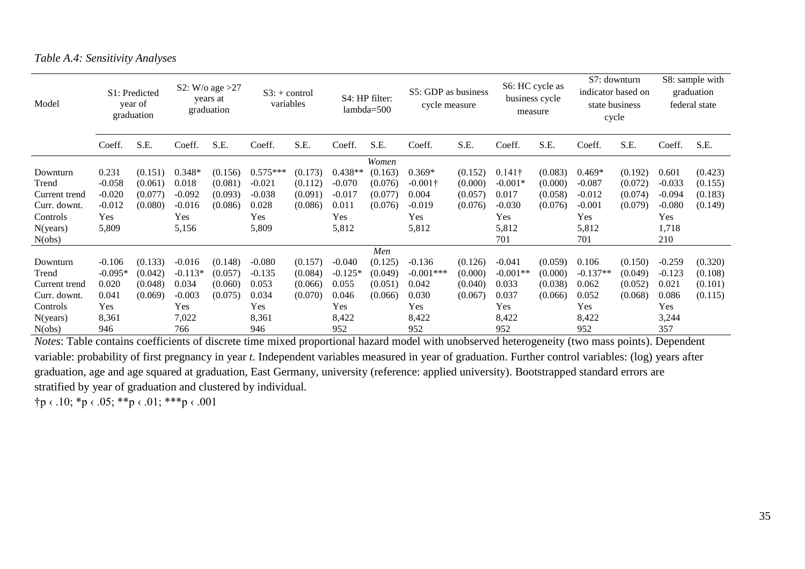*Table A.4: Sensitivity Analyses*

| Model         | S1: Predicted<br>year of<br>graduation |         | S2: W/o age $>27$<br>years at<br>graduation |         | $S3: + control$<br>variables |         |           | S4: HP filter:<br>$lambda=500$ |                 | S5: GDP as business<br>cycle measure |                | S6: HC cycle as<br>business cycle<br>measure |            | S7: downturn<br>indicator based on<br>state business<br>cycle |          | S8: sample with<br>graduation<br>federal state |  |
|---------------|----------------------------------------|---------|---------------------------------------------|---------|------------------------------|---------|-----------|--------------------------------|-----------------|--------------------------------------|----------------|----------------------------------------------|------------|---------------------------------------------------------------|----------|------------------------------------------------|--|
|               | Coeff.                                 | S.E.    | Coeff.                                      | S.E.    | Coeff.                       | S.E.    | Coeff.    | S.E.                           | Coeff.          | S.E.                                 | Coeff.         | S.E.                                         | Coeff.     | S.E.                                                          | Coeff.   | S.E.                                           |  |
| Women         |                                        |         |                                             |         |                              |         |           |                                |                 |                                      |                |                                              |            |                                                               |          |                                                |  |
| Downturn      | 0.231                                  | (0.151) | $0.348*$                                    | (0.156) | $0.575***$                   | (0.173) | $0.438**$ | (0.163)                        | $0.369*$        | (0.152)                              | $0.141\dagger$ | (0.083)                                      | $0.469*$   | (0.192)                                                       | 0.601    | (0.423)                                        |  |
| Trend         | $-0.058$                               | (0.061) | 0.018                                       | (0.081) | $-0.021$                     | (0.112) | $-0.070$  | (0.076)                        | $-0.001\dagger$ | (0.000)                              | $-0.001*$      | (0.000)                                      | $-0.087$   | (0.072)                                                       | $-0.033$ | (0.155)                                        |  |
| Current trend | $-0.020$                               | (0.077) | $-0.092$                                    | (0.093) | $-0.038$                     | (0.091) | $-0.017$  | (0.077)                        | 0.004           | (0.057)                              | 0.017          | (0.058)                                      | $-0.012$   | (0.074)                                                       | $-0.094$ | (0.183)                                        |  |
| Curr. downt.  | $-0.012$                               | (0.080) | $-0.016$                                    | (0.086) | 0.028                        | (0.086) | 0.011     | (0.076)                        | $-0.019$        | (0.076)                              | $-0.030$       | (0.076)                                      | $-0.001$   | (0.079)                                                       | $-0.080$ | (0.149)                                        |  |
| Controls      | Yes.                                   |         | Yes                                         |         | <b>Yes</b>                   |         | Yes       |                                | Yes             |                                      | Yes            |                                              | Yes        |                                                               | Yes      |                                                |  |
| N(years)      | 5,809                                  |         | 5,156                                       |         | 5,809                        |         | 5,812     |                                | 5,812           |                                      | 5,812          |                                              | 5,812      |                                                               | 1,718    |                                                |  |
| N(obs)        |                                        |         |                                             |         |                              |         |           |                                |                 |                                      | 701            |                                              | 701        |                                                               | 210      |                                                |  |
|               |                                        |         |                                             |         |                              |         |           | Men                            |                 |                                      |                |                                              |            |                                                               |          |                                                |  |
| Downturn      | $-0.106$                               | (0.133) | $-0.016$                                    | (0.148) | $-0.080$                     | (0.157) | $-0.040$  | (0.125)                        | $-0.136$        | (0.126)                              | $-0.041$       | (0.059)                                      | 0.106      | (0.150)                                                       | $-0.259$ | (0.320)                                        |  |
| Trend         | $-0.095*$                              | (0.042) | $-0.113*$                                   | (0.057) | $-0.135$                     | (0.084) | $-0.125*$ | (0.049)                        | $-0.001***$     | (0.000)                              | $-0.001**$     | (0.000)                                      | $-0.137**$ | (0.049)                                                       | $-0.123$ | (0.108)                                        |  |
| Current trend | 0.020                                  | (0.048) | 0.034                                       | (0.060) | 0.053                        | (0.066) | 0.055     | (0.051)                        | 0.042           | (0.040)                              | 0.033          | (0.038)                                      | 0.062      | (0.052)                                                       | 0.021    | (0.101)                                        |  |
| Curr. downt.  | 0.041                                  | (0.069) | $-0.003$                                    | (0.075) | 0.034                        | (0.070) | 0.046     | (0.066)                        | 0.030           | (0.067)                              | 0.037          | (0.066)                                      | 0.052      | (0.068)                                                       | 0.086    | (0.115)                                        |  |
| Controls      | <b>Yes</b>                             |         | Yes                                         |         | Yes                          |         | Yes       |                                | Yes             |                                      | <b>Yes</b>     |                                              | Yes        |                                                               | Yes      |                                                |  |
| N(years)      | 8,361                                  |         | 7,022                                       |         | 8,361                        |         | 8,422     |                                | 8,422           |                                      | 8,422          |                                              | 8,422      |                                                               | 3,244    |                                                |  |
| N(obs)        | 946                                    |         | 766                                         |         | 946                          |         | 952       |                                | 952             |                                      | 952            |                                              | 952        |                                                               | 357      |                                                |  |

*Notes*: Table contains coefficients of discrete time mixed proportional hazard model with unobserved heterogeneity (two mass points). Dependent variable: probability of first pregnancy in year *t*. Independent variables measured in year of graduation. Further control variables: (log) years after graduation, age and age squared at graduation, East Germany, university (reference: applied university). Bootstrapped standard errors are stratified by year of graduation and clustered by individual.

 $\uparrow p \leftarrow 10; \uparrow p \leftarrow 05; \uparrow \uparrow p \leftarrow 01; \uparrow \uparrow \uparrow p \leftarrow 001$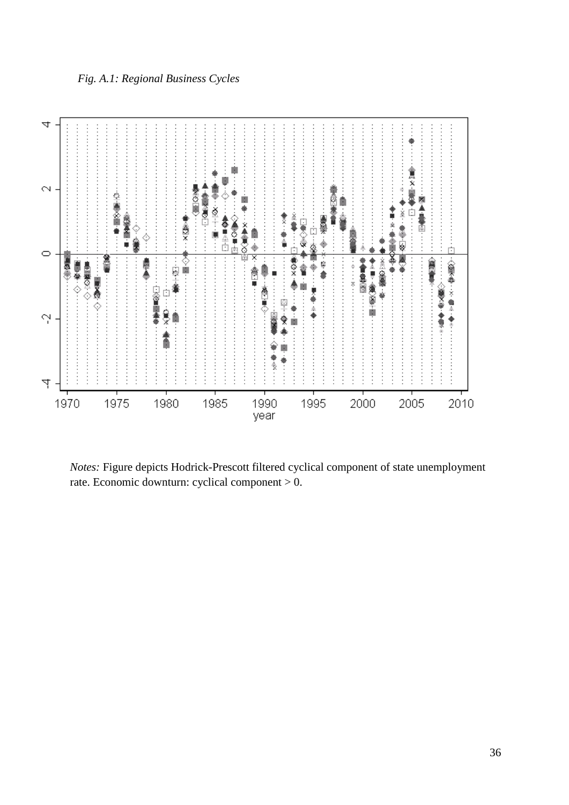# *Fig. A.1: Regional Business Cycles*



*Notes:* Figure depicts Hodrick-Prescott filtered cyclical component of state unemployment rate. Economic downturn: cyclical component > 0.